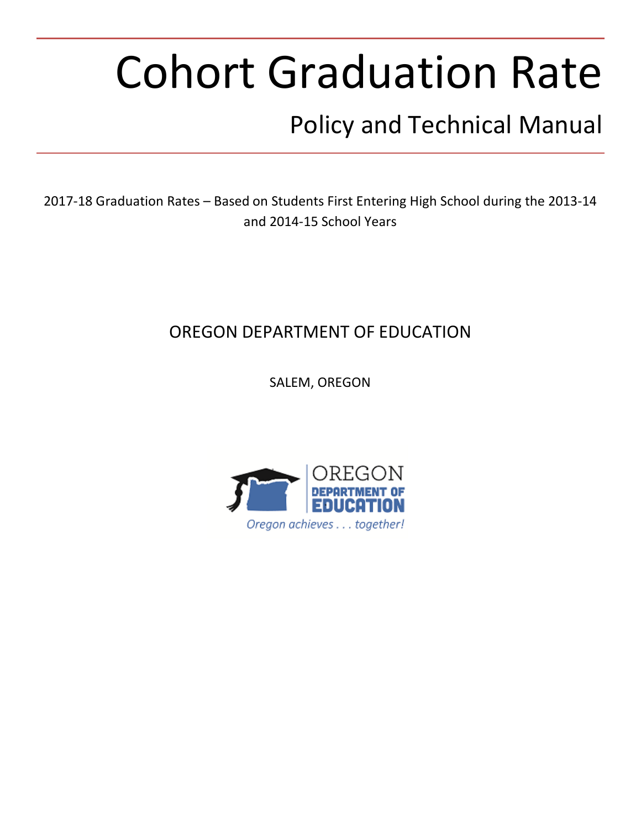# Cohort Graduation Rate

# Policy and Technical Manual

2017-18 Graduation Rates – Based on Students First Entering High School during the 2013-14 and 2014-15 School Years

# OREGON DEPARTMENT OF EDUCATION

SALEM, OREGON

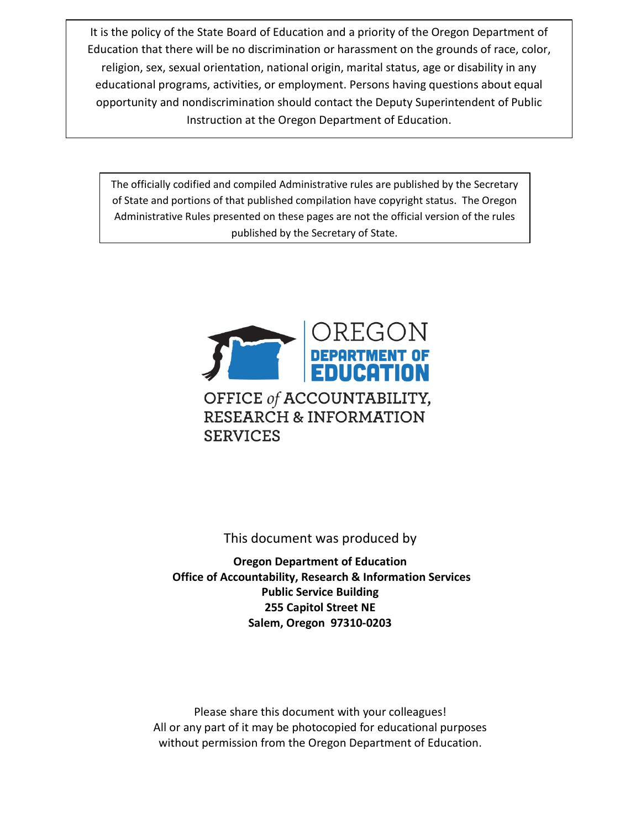It is the policy of the State Board of Education and a priority of the Oregon Department of Education that there will be no discrimination or harassment on the grounds of race, color, religion, sex, sexual orientation, national origin, marital status, age or disability in any educational programs, activities, or employment. Persons having questions about equal opportunity and nondiscrimination should contact the Deputy Superintendent of Public Instruction at the Oregon Department of Education.

The officially codified and compiled Administrative rules are published by the Secretary of State and portions of that published compilation have copyright status. The Oregon Administrative Rules presented on these pages are not the official version of the rules published by the Secretary of State.



This document was produced by

**Oregon Department of Education Office of Accountability, Research & Information Services Public Service Building 255 Capitol Street NE Salem, Oregon 97310-0203**

Please share this document with your colleagues! All or any part of it may be photocopied for educational purposes without permission from the Oregon Department of Education.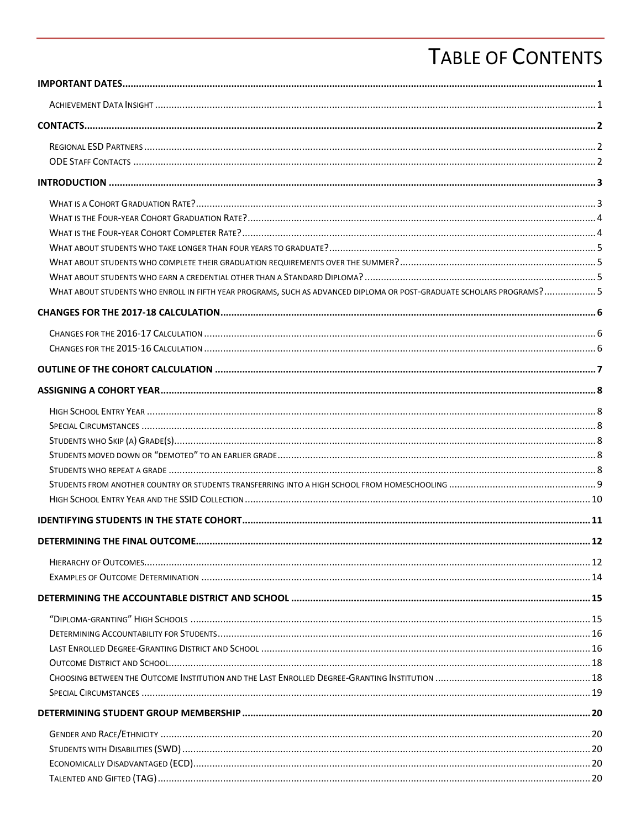# **TABLE OF CONTENTS**

| WHAT ABOUT STUDENTS WHO ENROLL IN FIFTH YEAR PROGRAMS, SUCH AS ADVANCED DIPLOMA OR POST-GRADUATE SCHOLARS PROGRAMS? 5 |  |
|-----------------------------------------------------------------------------------------------------------------------|--|
|                                                                                                                       |  |
|                                                                                                                       |  |
|                                                                                                                       |  |
|                                                                                                                       |  |
|                                                                                                                       |  |
|                                                                                                                       |  |
|                                                                                                                       |  |
|                                                                                                                       |  |
|                                                                                                                       |  |
|                                                                                                                       |  |
|                                                                                                                       |  |
|                                                                                                                       |  |
|                                                                                                                       |  |
|                                                                                                                       |  |
|                                                                                                                       |  |
|                                                                                                                       |  |
|                                                                                                                       |  |
|                                                                                                                       |  |
|                                                                                                                       |  |
|                                                                                                                       |  |
|                                                                                                                       |  |
|                                                                                                                       |  |
|                                                                                                                       |  |
|                                                                                                                       |  |
|                                                                                                                       |  |
|                                                                                                                       |  |
|                                                                                                                       |  |
|                                                                                                                       |  |
|                                                                                                                       |  |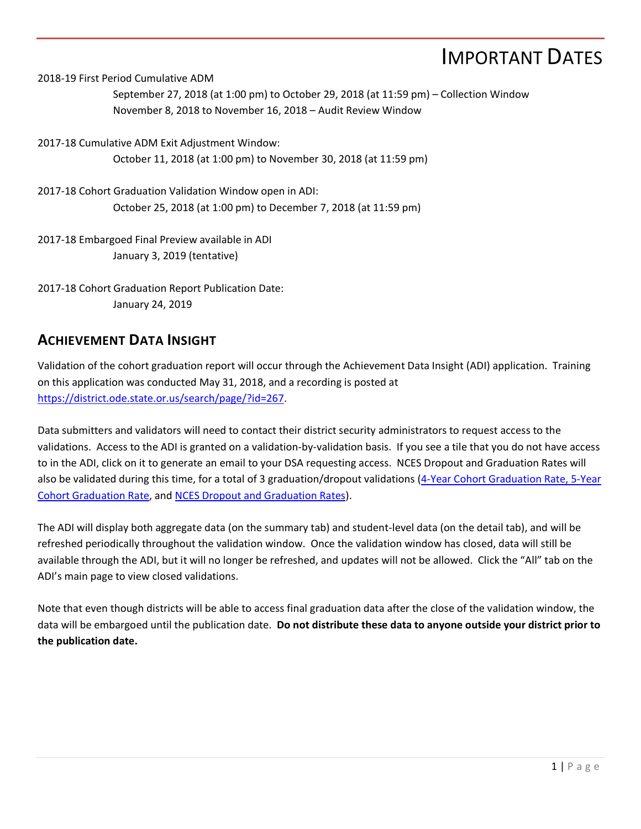# IMPORTANT DATES

<span id="page-4-0"></span>2018-19 First Period Cumulative ADM

September 27, 2018 (at 1:00 pm) to October 29, 2018 (at 11:59 pm) – Collection Window November 8, 2018 to November 16, 2018 – Audit Review Window

2017-18 Cumulative ADM Exit Adjustment Window: October 11, 2018 (at 1:00 pm) to November 30, 2018 (at 11:59 pm)

2017-18 Cohort Graduation Validation Window open in ADI: October 25, 2018 (at 1:00 pm) to December 7, 2018 (at 11:59 pm)

2017-18 Embargoed Final Preview available in ADI January 3, 2019 (tentative)

2017-18 Cohort Graduation Report Publication Date: January 24, 2019

#### <span id="page-4-1"></span>**ACHIEVEMENT DATA INSIGHT**

Validation of the cohort graduation report will occur through the Achievement Data Insight (ADI) application. Training on this application was conducted May 31, 2018, and a recording is posted at [https://district.ode.state.or.us/search/page/?id=267.](https://district.ode.state.or.us/search/page/?id=267)

Data submitters and validators will need to contact their district security administrators to request access to the validations. Access to the ADI is granted on a validation-by-validation basis. If you see a tile that you do not have access to in the ADI, click on it to generate an email to your DSA requesting access. NCES Dropout and Graduation Rates will also be validated during this time, for a total of 3 graduation/dropout validations [\(4-Year Cohort Graduation Rate, 5-Year](https://district.ode.state.or.us/apps/info/DataCllctnDetail.aspx?id=284&Collection_ID=2241)  [Cohort Graduation Rate,](https://district.ode.state.or.us/apps/info/DataCllctnDetail.aspx?id=285&Collection_ID=2242) and [NCES Dropout and Graduation Rates\)](https://district.ode.state.or.us/apps/info/DataCllctnDetail.aspx?id=338&Collection_ID=2249).

The ADI will display both aggregate data (on the summary tab) and student-level data (on the detail tab), and will be refreshed periodically throughout the validation window. Once the validation window has closed, data will still be available through the ADI, but it will no longer be refreshed, and updates will not be allowed. Click the "All" tab on the ADI's main page to view closed validations.

Note that even though districts will be able to access final graduation data after the close of the validation window, the data will be embargoed until the publication date. **Do not distribute these data to anyone outside your district prior to the publication date.**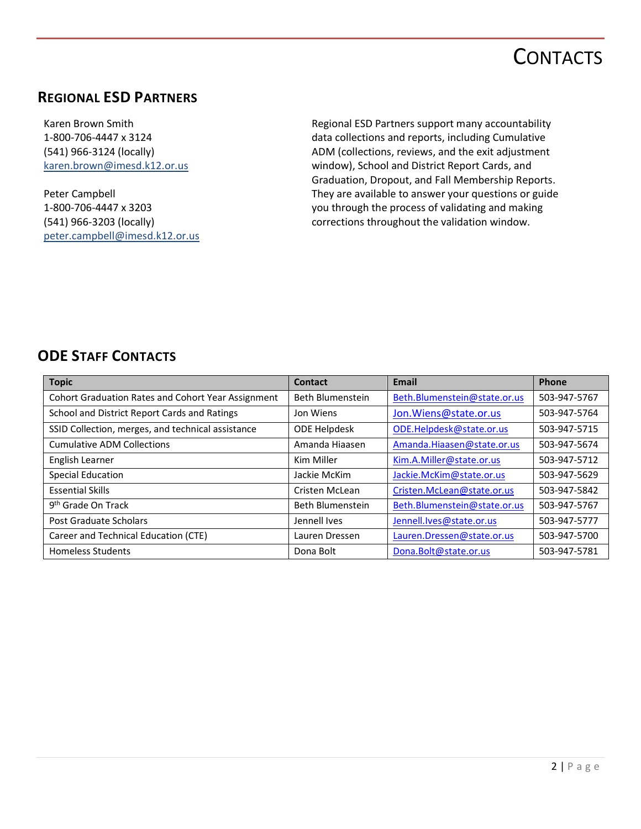# **CONTACTS**

### <span id="page-5-1"></span><span id="page-5-0"></span>**REGIONAL ESD PARTNERS**

Karen Brown Smith 1-800-706-4447 x 3124 (541) 966-3124 (locally) [karen.brown@imesd.k12.or.us](mailto:karen.brown@imesd.k12.or.us)

Peter Campbell 1-800-706-4447 x 3203 (541) 966-3203 (locally) [peter.campbell@imesd.k12.or.us](mailto:peter.campbell@imesd.k12.or.us) Regional ESD Partners support many accountability data collections and reports, including Cumulative ADM (collections, reviews, and the exit adjustment window), School and District Report Cards, and Graduation, Dropout, and Fall Membership Reports. They are available to answer your questions or guide you through the process of validating and making corrections throughout the validation window.

### <span id="page-5-2"></span>**ODE STAFF CONTACTS**

| <b>Topic</b>                                              | Contact             | Email                        | Phone        |
|-----------------------------------------------------------|---------------------|------------------------------|--------------|
| <b>Cohort Graduation Rates and Cohort Year Assignment</b> | Beth Blumenstein    | Beth.Blumenstein@state.or.us | 503-947-5767 |
| School and District Report Cards and Ratings              | Jon Wiens           | Jon. Wiens@state.or.us       | 503-947-5764 |
| SSID Collection, merges, and technical assistance         | <b>ODE Helpdesk</b> | ODE.Helpdesk@state.or.us     | 503-947-5715 |
| <b>Cumulative ADM Collections</b>                         | Amanda Hiaasen      | Amanda.Hiaasen@state.or.us   | 503-947-5674 |
| English Learner                                           | Kim Miller          | Kim.A.Miller@state.or.us     | 503-947-5712 |
| <b>Special Education</b>                                  | Jackie McKim        | Jackie.McKim@state.or.us     | 503-947-5629 |
| <b>Essential Skills</b>                                   | Cristen McLean      | Cristen.McLean@state.or.us   | 503-947-5842 |
| 9 <sup>th</sup> Grade On Track                            | Beth Blumenstein    | Beth.Blumenstein@state.or.us | 503-947-5767 |
| Post Graduate Scholars                                    | Jennell Ives        | Jennell.lves@state.or.us     | 503-947-5777 |
| Career and Technical Education (CTE)                      | Lauren Dressen      | Lauren.Dressen@state.or.us   | 503-947-5700 |
| <b>Homeless Students</b>                                  | Dona Bolt           | Dona.Bolt@state.or.us        | 503-947-5781 |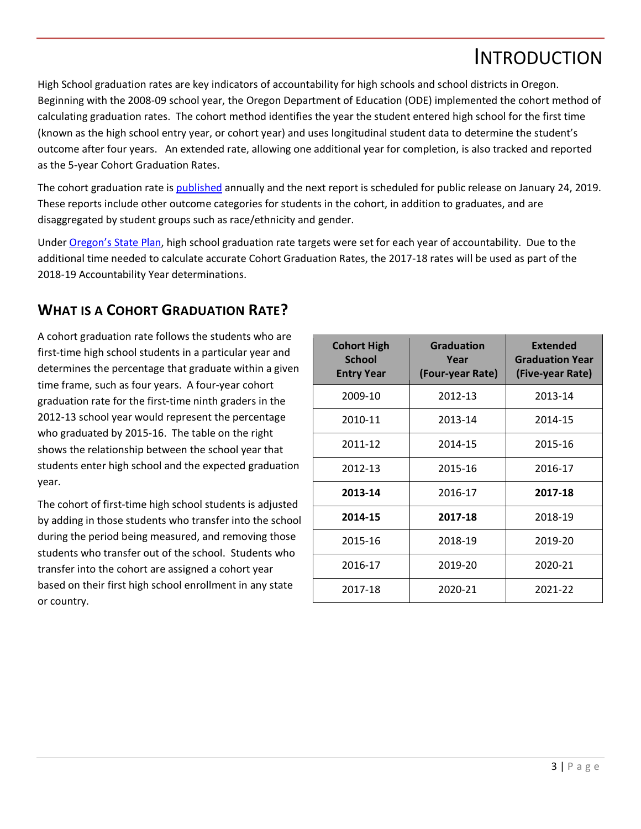# INTRODUCTION

<span id="page-6-0"></span>High School graduation rates are key indicators of accountability for high schools and school districts in Oregon. Beginning with the 2008-09 school year, the Oregon Department of Education (ODE) implemented the cohort method of calculating graduation rates. The cohort method identifies the year the student entered high school for the first time (known as the high school entry year, or cohort year) and uses longitudinal student data to determine the student's outcome after four years. An extended rate, allowing one additional year for completion, is also tracked and reported as the 5-year Cohort Graduation Rates.

The cohort graduation rate is [published](http://www.oregon.gov/ode/reports-and-data/students/Pages/Cohort-Graduation-Rate.aspx) annually and the next report is scheduled for public release on January 24, 2019. These reports include other outcome categories for students in the cohort, in addition to graduates, and are disaggregated by student groups such as race/ethnicity and gender.

Under [Oregon's State Plan,](http://www.oregon.gov/ode/rules-and-policies/ESSA/Pages/default.aspx) high school graduation rate targets were set for each year of accountability. Due to the additional time needed to calculate accurate Cohort Graduation Rates, the 2017-18 rates will be used as part of the 2018-19 Accountability Year determinations.

### <span id="page-6-1"></span>**WHAT IS A COHORT GRADUATION RATE?**

A cohort graduation rate follows the students who are first-time high school students in a particular year and determines the percentage that graduate within a given time frame, such as four years. A four-year cohort graduation rate for the first-time ninth graders in the 2012-13 school year would represent the percentage who graduated by 2015-16. The table on the right shows the relationship between the school year that students enter high school and the expected graduation year.

The cohort of first-time high school students is adjusted by adding in those students who transfer into the school during the period being measured, and removing those students who transfer out of the school. Students who transfer into the cohort are assigned a cohort year based on their first high school enrollment in any state or country.

| <b>Cohort High</b><br><b>School</b><br><b>Entry Year</b> | <b>Graduation</b><br>Year<br>(Four-year Rate) | <b>Extended</b><br><b>Graduation Year</b><br>(Five-year Rate) |
|----------------------------------------------------------|-----------------------------------------------|---------------------------------------------------------------|
| 2009-10                                                  | 2012-13                                       | 2013-14                                                       |
| 2010-11                                                  | 2013-14                                       | 2014-15                                                       |
| 2011-12                                                  | 2014-15                                       | 2015-16                                                       |
| 2012-13                                                  | 2015-16                                       | 2016-17                                                       |
| 2013-14                                                  | 2016-17                                       | 2017-18                                                       |
| 2014-15                                                  | 2017-18                                       | 2018-19                                                       |
| 2015-16                                                  | 2018-19                                       | 2019-20                                                       |
| 2016-17                                                  | 2019-20                                       | 2020-21                                                       |
| 2017-18                                                  | 2020-21                                       | 2021-22                                                       |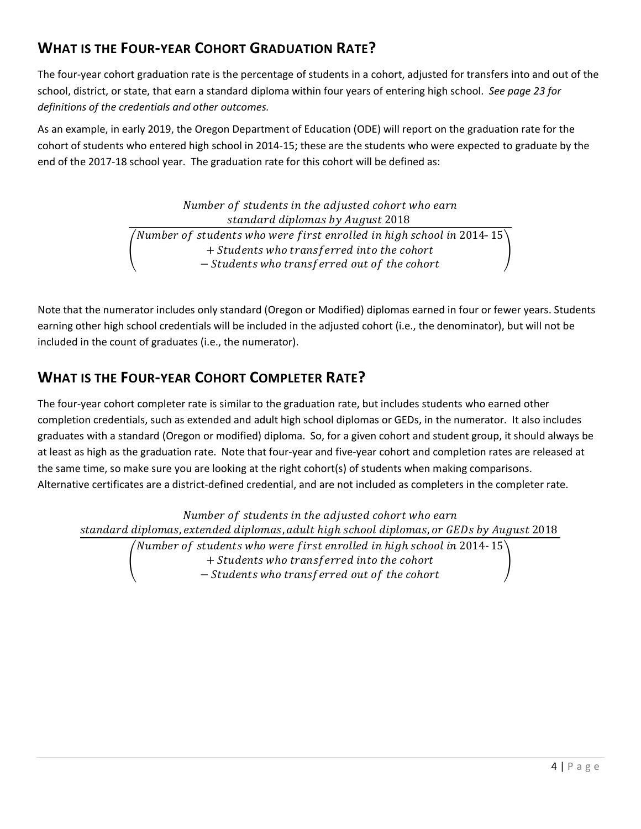# <span id="page-7-0"></span>**WHAT IS THE FOUR-YEAR COHORT GRADUATION RATE?**

The four-year cohort graduation rate is the percentage of students in a cohort, adjusted for transfers into and out of the school, district, or state, that earn a standard diploma within four years of entering high school. *See page [23](#page-26-2) for definitions of the credentials and other outcomes.* 

As an example, in early 2019, the Oregon Department of Education (ODE) will report on the graduation rate for the cohort of students who entered high school in 2014-15; these are the students who were expected to graduate by the end of the 2017-18 school year. The graduation rate for this cohort will be defined as:

> Number of students in the adjusted cohort who earn standard diplomas by August 2018  $\mathbf{I}$ Number of students who were first enrolled in high school in 2014- 15  $^\mathrm{h}$ + Students who transferred into the cohort - Students who transferred out of the cohort  $\overline{\phantom{a}}$

Note that the numerator includes only standard (Oregon or Modified) diplomas earned in four or fewer years. Students earning other high school credentials will be included in the adjusted cohort (i.e., the denominator), but will not be included in the count of graduates (i.e., the numerator).

## <span id="page-7-1"></span>**WHAT IS THE FOUR-YEAR COHORT COMPLETER RATE?**

The four-year cohort completer rate is similar to the graduation rate, but includes students who earned other completion credentials, such as extended and adult high school diplomas or GEDs, in the numerator. It also includes graduates with a standard (Oregon or modified) diploma. So, for a given cohort and student group, it should always be at least as high as the graduation rate. Note that four-year and five-year cohort and completion rates are released at the same time, so make sure you are looking at the right cohort(s) of students when making comparisons. Alternative certificates are a district-defined credential, and are not included as completers in the completer rate.

Number of students in the adjusted cohort who earn standard diplomas, extended diplomas, adult high school diplomas, or GEDs by August 2018  $\mathbf{I}$ Number of students who were first enrolled in high school in 2014-  $15^{\degree}$ + Students who transferred into the cohort − Students who transferred out of the cohort  $\overline{\phantom{a}}$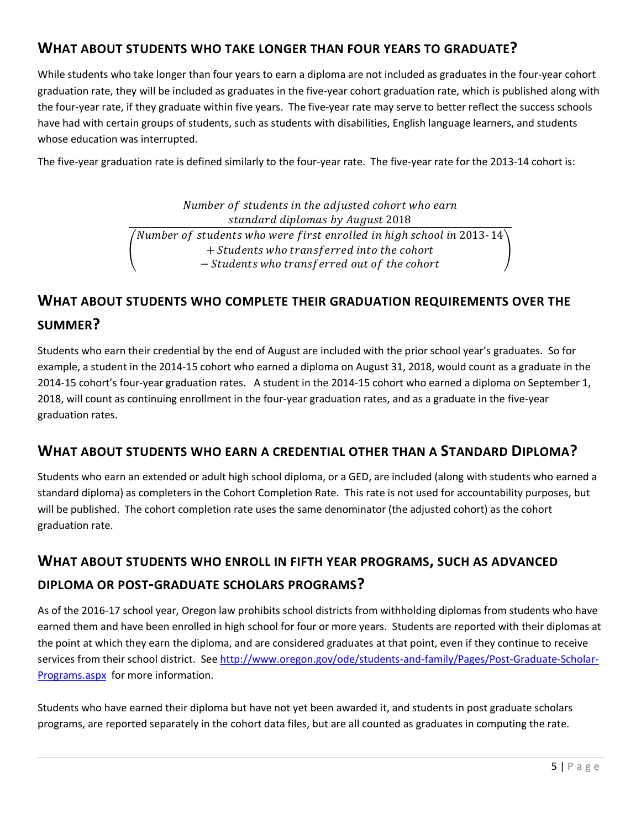### <span id="page-8-0"></span>**WHAT ABOUT STUDENTS WHO TAKE LONGER THAN FOUR YEARS TO GRADUATE?**

While students who take longer than four years to earn a diploma are not included as graduates in the four-year cohort graduation rate, they will be included as graduates in the five-year cohort graduation rate, which is published along with the four-year rate, if they graduate within five years. The five-year rate may serve to better reflect the success schools have had with certain groups of students, such as students with disabilities, English language learners, and students whose education was interrupted.

The five-year graduation rate is defined similarly to the four-year rate. The five-year rate for the 2013-14 cohort is:

Number of students in the adjusted cohort who earn standard diplomas by August 2018  $\mathbf{I}$ Number of students who were first enrolled in high school in 2013- 14 $^{\backprime}$ + Students who transferred into the cohort - Students who transferred out of the cohort  $\overline{\phantom{a}}$ 

# <span id="page-8-1"></span>**WHAT ABOUT STUDENTS WHO COMPLETE THEIR GRADUATION REQUIREMENTS OVER THE SUMMER?**

Students who earn their credential by the end of August are included with the prior school year's graduates. So for example, a student in the 2014-15 cohort who earned a diploma on August 31, 2018, would count as a graduate in the 2014-15 cohort's four-year graduation rates. A student in the 2014-15 cohort who earned a diploma on September 1, 2018, will count as continuing enrollment in the four-year graduation rates, and as a graduate in the five-year graduation rates.

#### <span id="page-8-2"></span>**WHAT ABOUT STUDENTS WHO EARN A CREDENTIAL OTHER THAN A STANDARD DIPLOMA?**

Students who earn an extended or adult high school diploma, or a GED, are included (along with students who earned a standard diploma) as completers in the Cohort Completion Rate. This rate is not used for accountability purposes, but will be published. The cohort completion rate uses the same denominator (the adjusted cohort) as the cohort graduation rate.

## <span id="page-8-3"></span>**WHAT ABOUT STUDENTS WHO ENROLL IN FIFTH YEAR PROGRAMS, SUCH AS ADVANCED DIPLOMA OR POST-GRADUATE SCHOLARS PROGRAMS?**

As of the 2016-17 school year, Oregon law prohibits school districts from withholding diplomas from students who have earned them and have been enrolled in high school for four or more years. Students are reported with their diplomas at the point at which they earn the diploma, and are considered graduates at that point, even if they continue to receive services from their school district. Se[e http://www.oregon.gov/ode/students-and-family/Pages/Post-Graduate-Scholar-](http://www.oregon.gov/ode/students-and-family/Pages/Post-Graduate-Scholar-Programs.aspx)[Programs.aspx](http://www.oregon.gov/ode/students-and-family/Pages/Post-Graduate-Scholar-Programs.aspx) for more information.

Students who have earned their diploma but have not yet been awarded it, and students in post graduate scholars programs, are reported separately in the cohort data files, but are all counted as graduates in computing the rate.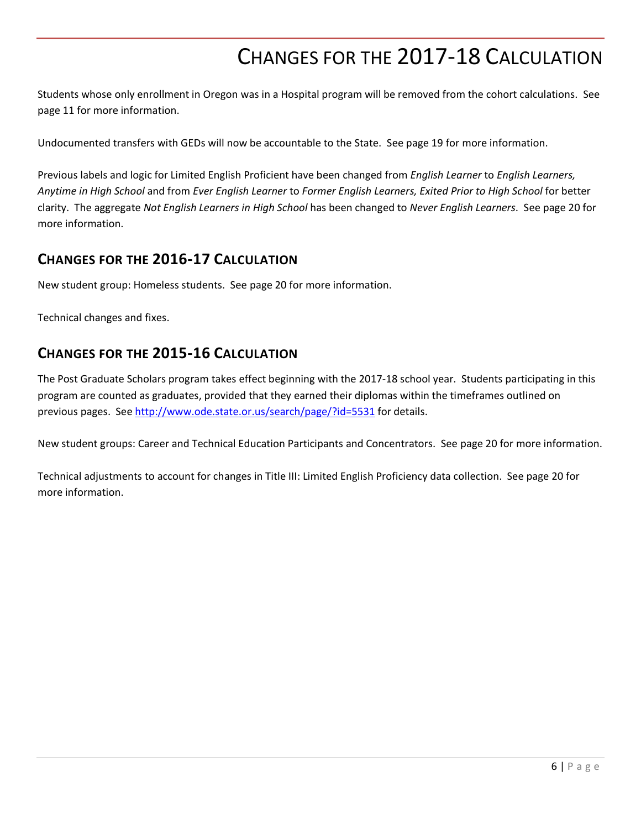# CHANGES FOR THE 2017-18 CALCULATION

<span id="page-9-0"></span>Students whose only enrollment in Oregon was in a Hospital program will be removed from the cohort calculations. See page [11](#page-14-0) for more information.

Undocumented transfers with GEDs will now be accountable to the State. See page [19](#page-21-2) for more information.

Previous labels and logic for Limited English Proficient have been changed from *English Learner* to *English Learners, Anytime in High School* and from *Ever English Learner* to *Former English Learners, Exited Prior to High School* for better clarity. The aggregate *Not English Learners in High School* has been changed to *Never English Learners*. See page [20](#page-23-5) for more information.

#### <span id="page-9-1"></span>**CHANGES FOR THE 2016-17 CALCULATION**

New student group: Homeless students. See page [20](#page-23-1) for more information.

<span id="page-9-2"></span>Technical changes and fixes.

### **CHANGES FOR THE 2015-16 CALCULATION**

The Post Graduate Scholars program takes effect beginning with the 2017-18 school year. Students participating in this program are counted as graduates, provided that they earned their diplomas within the timeframes outlined on previous pages. See<http://www.ode.state.or.us/search/page/?id=5531> for details.

New student groups: Career and Technical Education Participants and Concentrators. See page [20](#page-23-1) for more information.

Technical adjustments to account for changes in Title III: Limited English Proficiency data collection. See page [20](#page-23-1) for more information.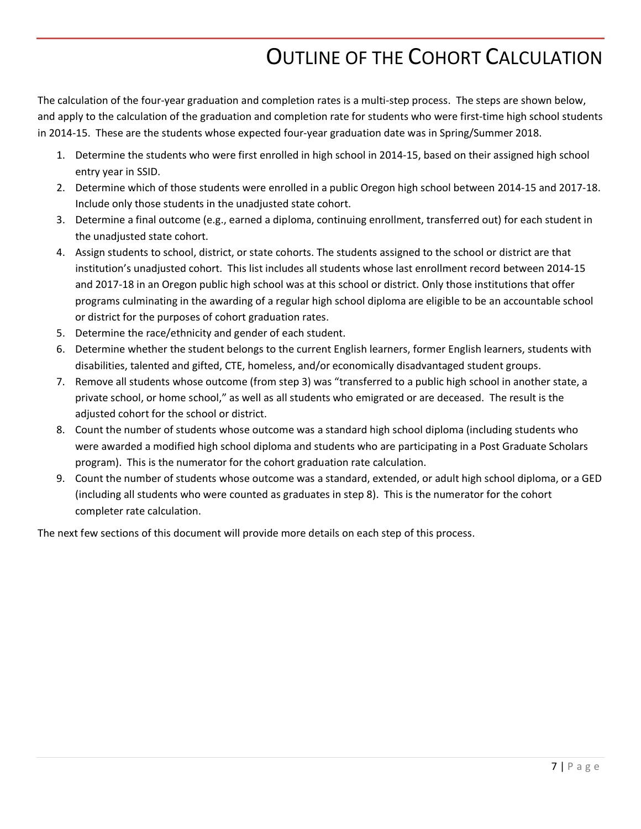# OUTLINE OF THE COHORT CALCULATION

<span id="page-10-0"></span>The calculation of the four-year graduation and completion rates is a multi-step process. The steps are shown below, and apply to the calculation of the graduation and completion rate for students who were first-time high school students in 2014-15. These are the students whose expected four-year graduation date was in Spring/Summer 2018.

- 1. Determine the students who were first enrolled in high school in 2014-15, based on their assigned high school entry year in SSID.
- 2. Determine which of those students were enrolled in a public Oregon high school between 2014-15 and 2017-18. Include only those students in the unadjusted state cohort.
- 3. Determine a final outcome (e.g., earned a diploma, continuing enrollment, transferred out) for each student in the unadjusted state cohort.
- 4. Assign students to school, district, or state cohorts. The students assigned to the school or district are that institution's unadjusted cohort. This list includes all students whose last enrollment record between 2014-15 and 2017-18 in an Oregon public high school was at this school or district. Only those institutions that offer programs culminating in the awarding of a regular high school diploma are eligible to be an accountable school or district for the purposes of cohort graduation rates.
- 5. Determine the race/ethnicity and gender of each student.
- 6. Determine whether the student belongs to the current English learners, former English learners, students with disabilities, talented and gifted, CTE, homeless, and/or economically disadvantaged student groups.
- 7. Remove all students whose outcome (from step 3) was "transferred to a public high school in another state, a private school, or home school," as well as all students who emigrated or are deceased. The result is the adjusted cohort for the school or district.
- 8. Count the number of students whose outcome was a standard high school diploma (including students who were awarded a modified high school diploma and students who are participating in a Post Graduate Scholars program). This is the numerator for the cohort graduation rate calculation.
- 9. Count the number of students whose outcome was a standard, extended, or adult high school diploma, or a GED (including all students who were counted as graduates in step 8). This is the numerator for the cohort completer rate calculation.

The next few sections of this document will provide more details on each step of this process.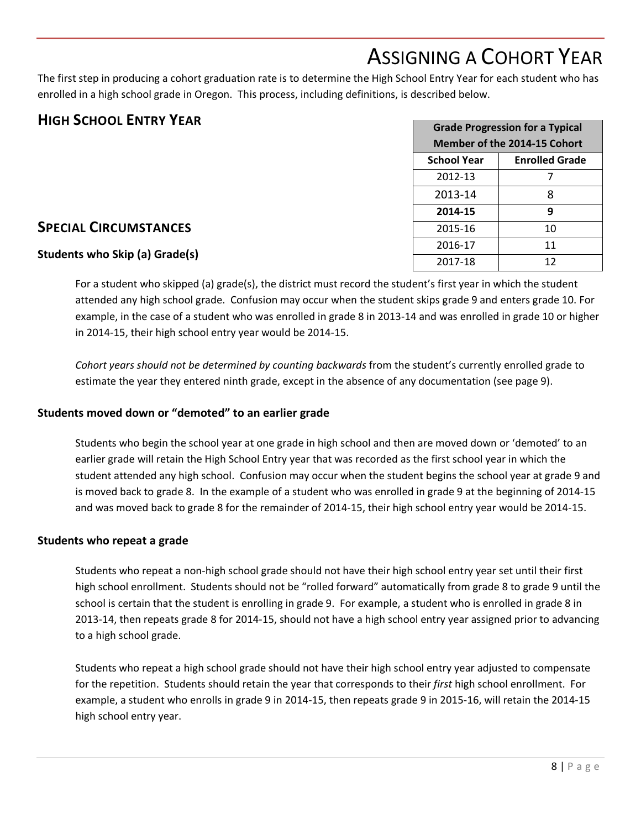# ASSIGNING A COHORT YEAR

<span id="page-11-0"></span>The first step in producing a cohort graduation rate is to determine the High School Entry Year for each student who has enrolled in a high school grade in Oregon. This process, including definitions, is described below.

#### <span id="page-11-1"></span>**HIGH SCHOOL ENTRY YEAR**

| <b>Grade Progression for a Typical</b><br>Member of the 2014-15 Cohort |    |  |  |
|------------------------------------------------------------------------|----|--|--|
| <b>School Year</b><br><b>Enrolled Grade</b>                            |    |  |  |
| 2012-13                                                                |    |  |  |
| 2013-14<br>8                                                           |    |  |  |
| 9<br>2014-15                                                           |    |  |  |
| 2015-16                                                                | 10 |  |  |
| 2016-17                                                                | 11 |  |  |
| 2017-18                                                                | 12 |  |  |

### <span id="page-11-2"></span>**SPECIAL CIRCUMSTANCES**

#### <span id="page-11-3"></span>**Students who Skip (a) Grade(s)**

For a student who skipped (a) grade(s), the district must record the student's first year in which the student attended any high school grade. Confusion may occur when the student skips grade 9 and enters grade 10. For example, in the case of a student who was enrolled in grade 8 in 2013-14 and was enrolled in grade 10 or higher in 2014-15, their high school entry year would be 2014-15.

*Cohort years should not be determined by counting backwards* from the student's currently enrolled grade to estimate the year they entered ninth grade, except in the absence of any documentation (see page [9\)](#page-11-6).

#### <span id="page-11-4"></span>**Students moved down or "demoted" to an earlier grade**

Students who begin the school year at one grade in high school and then are moved down or 'demoted' to an earlier grade will retain the High School Entry year that was recorded as the first school year in which the student attended any high school. Confusion may occur when the student begins the school year at grade 9 and is moved back to grade 8. In the example of a student who was enrolled in grade 9 at the beginning of 2014-15 and was moved back to grade 8 for the remainder of 2014-15, their high school entry year would be 2014-15.

#### <span id="page-11-5"></span>**Students who repeat a grade**

Students who repeat a non-high school grade should not have their high school entry year set until their first high school enrollment. Students should not be "rolled forward" automatically from grade 8 to grade 9 until the school is certain that the student is enrolling in grade 9. For example, a student who is enrolled in grade 8 in 2013-14, then repeats grade 8 for 2014-15, should not have a high school entry year assigned prior to advancing to a high school grade.

<span id="page-11-6"></span>Students who repeat a high school grade should not have their high school entry year adjusted to compensate for the repetition. Students should retain the year that corresponds to their *first* high school enrollment. For example, a student who enrolls in grade 9 in 2014-15, then repeats grade 9 in 2015-16, will retain the 2014-15 high school entry year.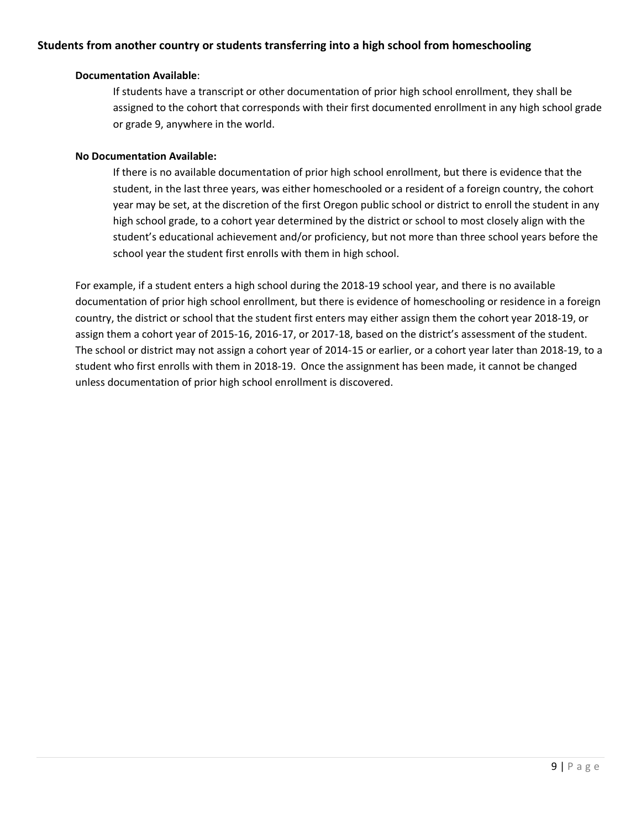#### <span id="page-12-0"></span>**Students from another country or students transferring into a high school from homeschooling**

#### **Documentation Available**:

If students have a transcript or other documentation of prior high school enrollment, they shall be assigned to the cohort that corresponds with their first documented enrollment in any high school grade or grade 9, anywhere in the world.

#### **No Documentation Available:**

If there is no available documentation of prior high school enrollment, but there is evidence that the student, in the last three years, was either homeschooled or a resident of a foreign country, the cohort year may be set, at the discretion of the first Oregon public school or district to enroll the student in any high school grade, to a cohort year determined by the district or school to most closely align with the student's educational achievement and/or proficiency, but not more than three school years before the school year the student first enrolls with them in high school.

For example, if a student enters a high school during the 2018-19 school year, and there is no available documentation of prior high school enrollment, but there is evidence of homeschooling or residence in a foreign country, the district or school that the student first enters may either assign them the cohort year 2018-19, or assign them a cohort year of 2015-16, 2016-17, or 2017-18, based on the district's assessment of the student. The school or district may not assign a cohort year of 2014-15 or earlier, or a cohort year later than 2018-19, to a student who first enrolls with them in 2018-19. Once the assignment has been made, it cannot be changed unless documentation of prior high school enrollment is discovered.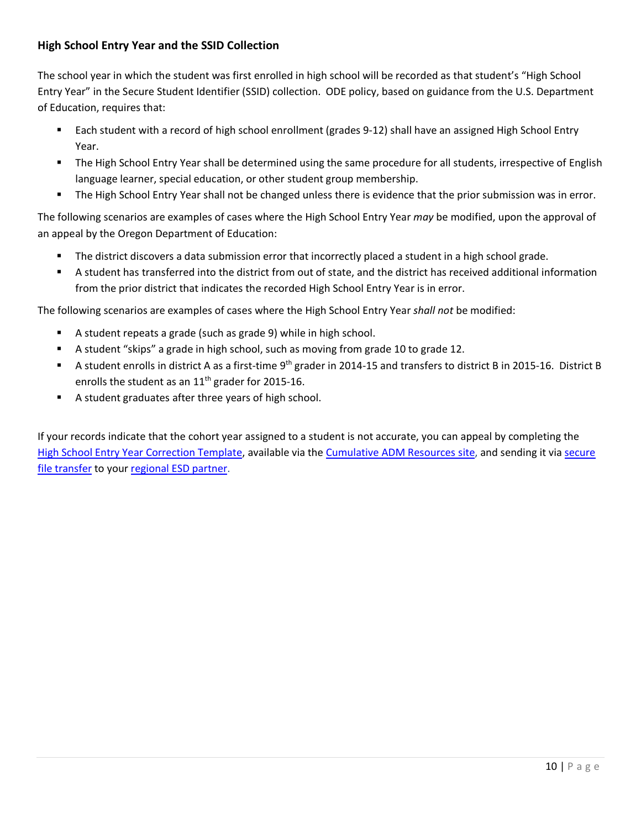#### <span id="page-13-0"></span>**High School Entry Year and the SSID Collection**

The school year in which the student was first enrolled in high school will be recorded as that student's "High School Entry Year" in the Secure Student Identifier (SSID) collection. ODE policy, based on guidance from the U.S. Department of Education, requires that:

- Each student with a record of high school enrollment (grades 9-12) shall have an assigned High School Entry Year.
- **The High School Entry Year shall be determined using the same procedure for all students, irrespective of English** language learner, special education, or other student group membership.
- The High School Entry Year shall not be changed unless there is evidence that the prior submission was in error.

The following scenarios are examples of cases where the High School Entry Year *may* be modified, upon the approval of an appeal by the Oregon Department of Education:

- The district discovers a data submission error that incorrectly placed a student in a high school grade.
- A student has transferred into the district from out of state, and the district has received additional information from the prior district that indicates the recorded High School Entry Year is in error.

The following scenarios are examples of cases where the High School Entry Year *shall not* be modified:

- A student repeats a grade (such as grade 9) while in high school.
- A student "skips" a grade in high school, such as moving from grade 10 to grade 12.
- A student enrolls in district A as a first-time 9<sup>th</sup> grader in 2014-15 and transfers to district B in 2015-16. District B enrolls the student as an  $11<sup>th</sup>$  grader for 2015-16.
- A student graduates after three years of high school.

If your records indicate that the cohort year assigned to a student is not accurate, you can appeal by completing the [High School Entry Year Correction Template,](https://district.ode.state.or.us/apps/info/docs/HS_Entry_Year_changes_template_Updated51812.xls) available via the [Cumulative ADM Resources site,](https://district.ode.state.or.us/search/page/?id=156) and sending it via secure [file transfer](https://district.ode.state.or.us/apps/xfers/) to your [regional ESD partner.](http://www.oregon.gov/ode/educator-resources/assessment/Documents/esdpartners.pdf)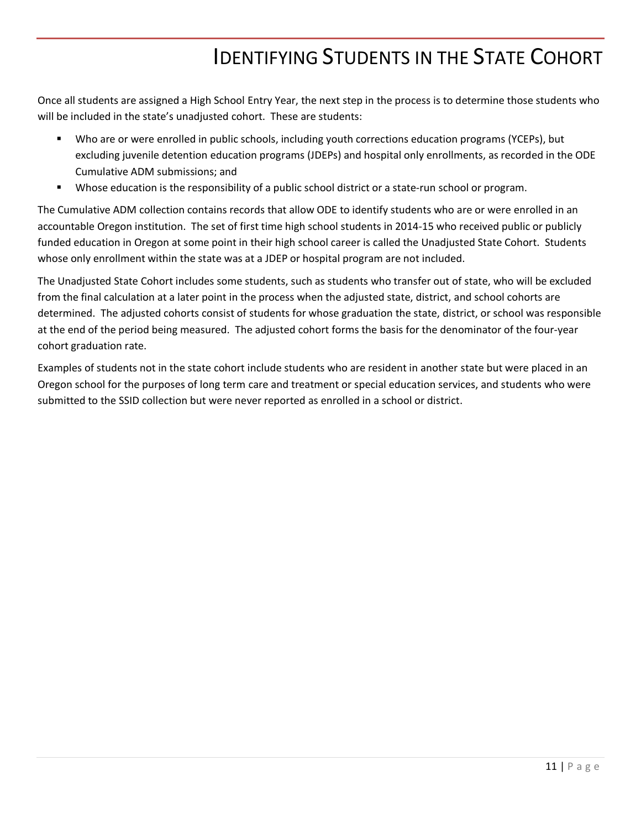# IDENTIFYING STUDENTS IN THE STATE COHORT

<span id="page-14-0"></span>Once all students are assigned a High School Entry Year, the next step in the process is to determine those students who will be included in the state's unadjusted cohort. These are students:

- Who are or were enrolled in public schools, including youth corrections education programs (YCEPs), but excluding juvenile detention education programs (JDEPs) and hospital only enrollments, as recorded in the ODE Cumulative ADM submissions; and
- Whose education is the responsibility of a public school district or a state-run school or program.

The Cumulative ADM collection contains records that allow ODE to identify students who are or were enrolled in an accountable Oregon institution. The set of first time high school students in 2014-15 who received public or publicly funded education in Oregon at some point in their high school career is called the Unadjusted State Cohort. Students whose only enrollment within the state was at a JDEP or hospital program are not included.

The Unadjusted State Cohort includes some students, such as students who transfer out of state, who will be excluded from the final calculation at a later point in the process when the adjusted state, district, and school cohorts are determined. The adjusted cohorts consist of students for whose graduation the state, district, or school was responsible at the end of the period being measured. The adjusted cohort forms the basis for the denominator of the four-year cohort graduation rate.

Examples of students not in the state cohort include students who are resident in another state but were placed in an Oregon school for the purposes of long term care and treatment or special education services, and students who were submitted to the SSID collection but were never reported as enrolled in a school or district.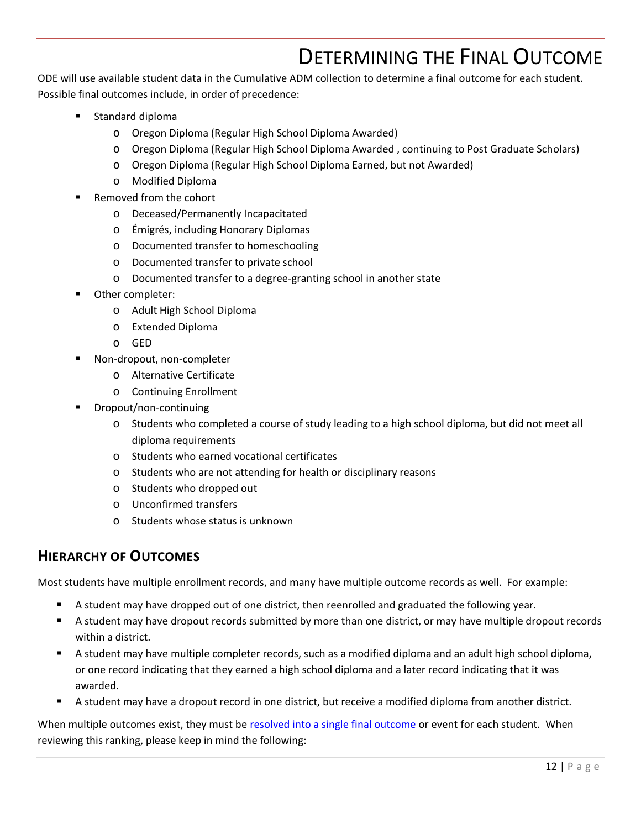# DETERMINING THE FINAL OUTCOME

<span id="page-15-0"></span>ODE will use available student data in the Cumulative ADM collection to determine a final outcome for each student. Possible final outcomes include, in order of precedence:

- Standard diploma
	- o Oregon Diploma (Regular High School Diploma Awarded)
	- o Oregon Diploma (Regular High School Diploma Awarded , continuing to Post Graduate Scholars)
	- o Oregon Diploma (Regular High School Diploma Earned, but not Awarded)
	- o Modified Diploma
- Removed from the cohort
	- o Deceased/Permanently Incapacitated
	- o Émigrés, including Honorary Diplomas
	- o Documented transfer to homeschooling
	- o Documented transfer to private school
	- o Documented transfer to a degree-granting school in another state
- Other completer:
	- o Adult High School Diploma
	- o Extended Diploma
	- o GED
- Non-dropout, non-completer
	- o Alternative Certificate
	- o Continuing Enrollment
- Dropout/non-continuing
	- o Students who completed a course of study leading to a high school diploma, but did not meet all diploma requirements
	- o Students who earned vocational certificates
	- o Students who are not attending for health or disciplinary reasons
	- o Students who dropped out
	- o Unconfirmed transfers
	- o Students whose status is unknown

#### <span id="page-15-1"></span>**HIERARCHY OF OUTCOMES**

Most students have multiple enrollment records, and many have multiple outcome records as well. For example:

- **A** student may have dropped out of one district, then reenrolled and graduated the following year.
- A student may have dropout records submitted by more than one district, or may have multiple dropout records within a district.
- A student may have multiple completer records, such as a modified diploma and an adult high school diploma, or one record indicating that they earned a high school diploma and a later record indicating that it was awarded.
- A student may have a dropout record in one district, but receive a modified diploma from another district.

When multiple outcomes exist, they must be [resolved into a single final outcome](https://district.ode.state.or.us/apps/info/docs/OutcomeRankDescriptions1718.pdf) or event for each student. When reviewing this ranking, please keep in mind the following: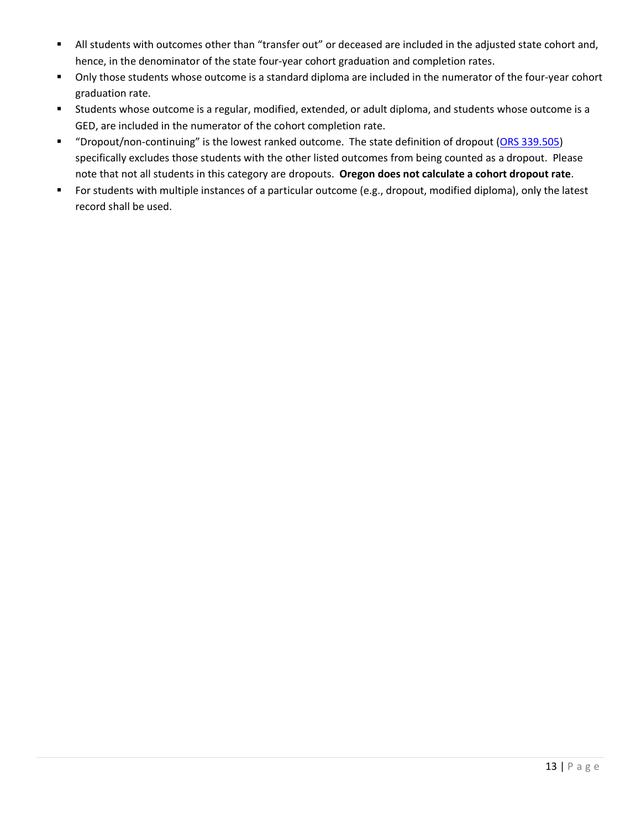- All students with outcomes other than "transfer out" or deceased are included in the adjusted state cohort and, hence, in the denominator of the state four-year cohort graduation and completion rates.
- Only those students whose outcome is a standard diploma are included in the numerator of the four-year cohort graduation rate.
- Students whose outcome is a regular, modified, extended, or adult diploma, and students whose outcome is a GED, are included in the numerator of the cohort completion rate.
- " "Dropout/non-continuing" is the lowest ranked outcome. The state definition of dropout [\(ORS 339.505\)](https://www.oregonlegislature.gov/bills_laws/ors/ors339.html) specifically excludes those students with the other listed outcomes from being counted as a dropout. Please note that not all students in this category are dropouts. **Oregon does not calculate a cohort dropout rate**.
- For students with multiple instances of a particular outcome (e.g., dropout, modified diploma), only the latest record shall be used.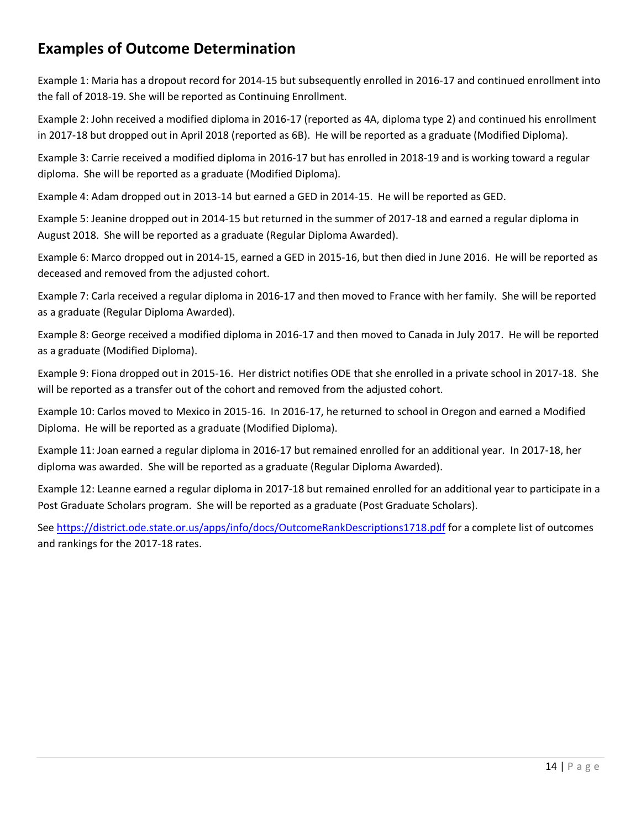# <span id="page-17-0"></span>**Examples of Outcome Determination**

Example 1: Maria has a dropout record for 2014-15 but subsequently enrolled in 2016-17 and continued enrollment into the fall of 2018-19. She will be reported as Continuing Enrollment.

Example 2: John received a modified diploma in 2016-17 (reported as 4A, diploma type 2) and continued his enrollment in 2017-18 but dropped out in April 2018 (reported as 6B). He will be reported as a graduate (Modified Diploma).

Example 3: Carrie received a modified diploma in 2016-17 but has enrolled in 2018-19 and is working toward a regular diploma. She will be reported as a graduate (Modified Diploma).

Example 4: Adam dropped out in 2013-14 but earned a GED in 2014-15. He will be reported as GED.

Example 5: Jeanine dropped out in 2014-15 but returned in the summer of 2017-18 and earned a regular diploma in August 2018. She will be reported as a graduate (Regular Diploma Awarded).

Example 6: Marco dropped out in 2014-15, earned a GED in 2015-16, but then died in June 2016. He will be reported as deceased and removed from the adjusted cohort.

Example 7: Carla received a regular diploma in 2016-17 and then moved to France with her family. She will be reported as a graduate (Regular Diploma Awarded).

Example 8: George received a modified diploma in 2016-17 and then moved to Canada in July 2017. He will be reported as a graduate (Modified Diploma).

Example 9: Fiona dropped out in 2015-16. Her district notifies ODE that she enrolled in a private school in 2017-18. She will be reported as a transfer out of the cohort and removed from the adjusted cohort.

Example 10: Carlos moved to Mexico in 2015-16. In 2016-17, he returned to school in Oregon and earned a Modified Diploma. He will be reported as a graduate (Modified Diploma).

Example 11: Joan earned a regular diploma in 2016-17 but remained enrolled for an additional year. In 2017-18, her diploma was awarded. She will be reported as a graduate (Regular Diploma Awarded).

Example 12: Leanne earned a regular diploma in 2017-18 but remained enrolled for an additional year to participate in a Post Graduate Scholars program. She will be reported as a graduate (Post Graduate Scholars).

See <https://district.ode.state.or.us/apps/info/docs/OutcomeRankDescriptions1718.pdf> for a complete list of outcomes and rankings for the 2017-18 rates.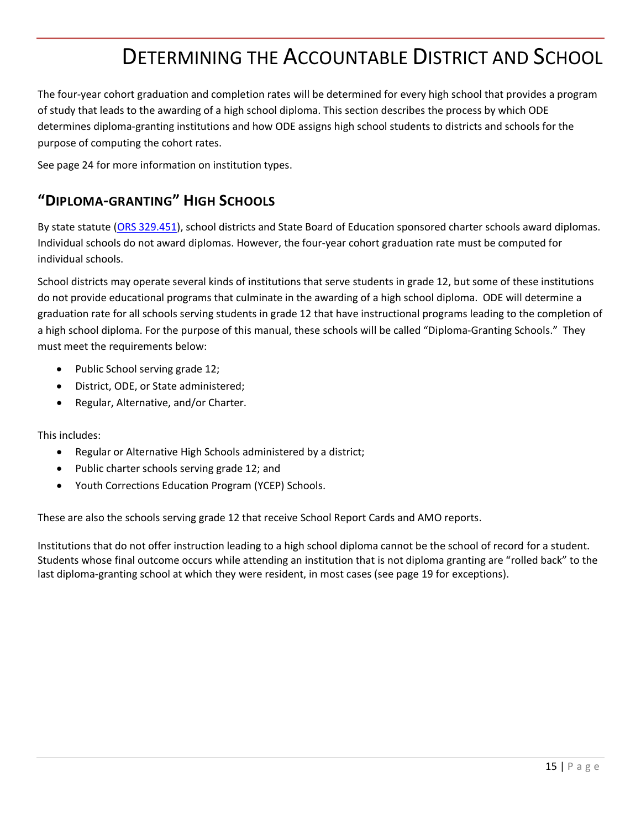# DETERMINING THE ACCOUNTABLE DISTRICT AND SCHOOL

<span id="page-18-0"></span>The four-year cohort graduation and completion rates will be determined for every high school that provides a program of study that leads to the awarding of a high school diploma. This section describes the process by which ODE determines diploma-granting institutions and how ODE assigns high school students to districts and schools for the purpose of computing the cohort rates.

See page [24](#page-27-1) for more information on institution types.

### <span id="page-18-1"></span>**"DIPLOMA-GRANTING" HIGH SCHOOLS**

By state statute [\(ORS 329.451\)](https://www.oregonlegislature.gov/bills_laws/ors/ors329.html), school districts and State Board of Education sponsored charter schools award diplomas. Individual schools do not award diplomas. However, the four-year cohort graduation rate must be computed for individual schools.

School districts may operate several kinds of institutions that serve students in grade 12, but some of these institutions do not provide educational programs that culminate in the awarding of a high school diploma. ODE will determine a graduation rate for all schools serving students in grade 12 that have instructional programs leading to the completion of a high school diploma. For the purpose of this manual, these schools will be called "Diploma-Granting Schools." They must meet the requirements below:

- Public School serving grade 12;
- District, ODE, or State administered;
- Regular, Alternative, and/or Charter.

This includes:

- Regular or Alternative High Schools administered by a district;
- Public charter schools serving grade 12; and
- Youth Corrections Education Program (YCEP) Schools.

These are also the schools serving grade 12 that receive School Report Cards and AMO reports.

Institutions that do not offer instruction leading to a high school diploma cannot be the school of record for a student. Students whose final outcome occurs while attending an institution that is not diploma granting are "rolled back" to the last diploma-granting school at which they were resident, in most cases (see page [19](#page-21-2) for exceptions).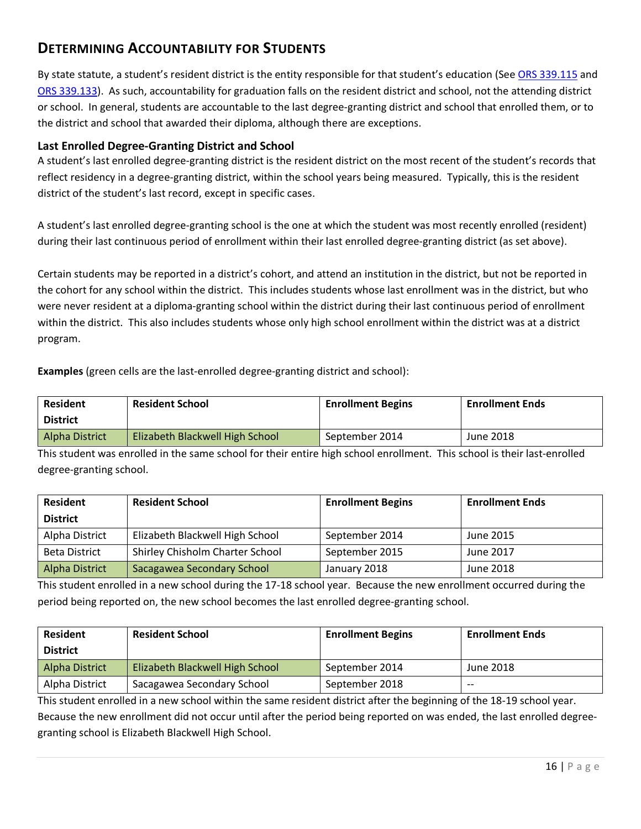### <span id="page-19-0"></span>**DETERMINING ACCOUNTABILITY FOR STUDENTS**

By state statute, a student's resident district is the entity responsible for that student's education (See [ORS 339.115](https://www.oregonlegislature.gov/bills_laws/ors/ors339.html) and [ORS 339.133\)](https://www.oregonlegislature.gov/bills_laws/ors/ors339.html). As such, accountability for graduation falls on the resident district and school, not the attending district or school. In general, students are accountable to the last degree-granting district and school that enrolled them, or to the district and school that awarded their diploma, although there are exceptions.

#### <span id="page-19-1"></span>**Last Enrolled Degree-Granting District and School**

A student's last enrolled degree-granting district is the resident district on the most recent of the student's records that reflect residency in a degree-granting district, within the school years being measured. Typically, this is the resident district of the student's last record, except in specific cases.

A student's last enrolled degree-granting school is the one at which the student was most recently enrolled (resident) during their last continuous period of enrollment within their last enrolled degree-granting district (as set above).

Certain students may be reported in a district's cohort, and attend an institution in the district, but not be reported in the cohort for any school within the district. This includes students whose last enrollment was in the district, but who were never resident at a diploma-granting school within the district during their last continuous period of enrollment within the district. This also includes students whose only high school enrollment within the district was at a district program.

**Examples** (green cells are the last-enrolled degree-granting district and school):

| <b>Resident</b><br><b>District</b> | <b>Resident School</b>          | <b>Enrollment Begins</b> | <b>Enrollment Ends</b> |
|------------------------------------|---------------------------------|--------------------------|------------------------|
| Alpha District                     | Elizabeth Blackwell High School | September 2014           | June 2018              |

This student was enrolled in the same school for their entire high school enrollment. This school is their last-enrolled degree-granting school.

| <b>Resident</b>      | <b>Resident School</b>          | <b>Enrollment Begins</b> | <b>Enrollment Ends</b> |
|----------------------|---------------------------------|--------------------------|------------------------|
| <b>District</b>      |                                 |                          |                        |
| Alpha District       | Elizabeth Blackwell High School | September 2014           | June 2015              |
| <b>Beta District</b> | Shirley Chisholm Charter School | September 2015           | June 2017              |
| Alpha District       | Sacagawea Secondary School      | January 2018             | June 2018              |

This student enrolled in a new school during the 17-18 school year. Because the new enrollment occurred during the period being reported on, the new school becomes the last enrolled degree-granting school.

| <b>Resident</b> | <b>Resident School</b>                 | <b>Enrollment Begins</b> | <b>Enrollment Ends</b> |
|-----------------|----------------------------------------|--------------------------|------------------------|
| <b>District</b> |                                        |                          |                        |
| Alpha District  | <b>Elizabeth Blackwell High School</b> | September 2014           | June 2018              |
| Alpha District  | Sacagawea Secondary School             | September 2018           | $- -$                  |

This student enrolled in a new school within the same resident district after the beginning of the 18-19 school year. Because the new enrollment did not occur until after the period being reported on was ended, the last enrolled degreegranting school is Elizabeth Blackwell High School.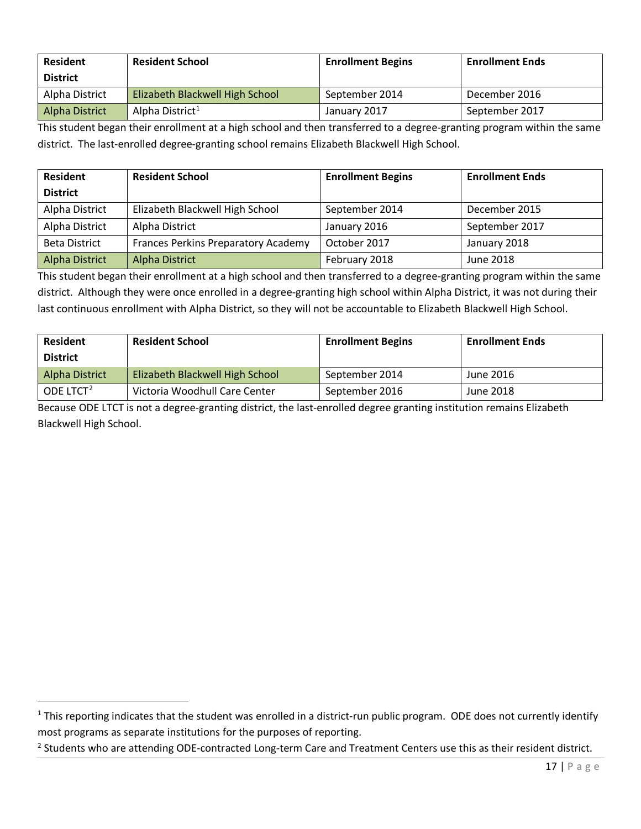| <b>Resident</b> | <b>Resident School</b>          | <b>Enrollment Begins</b> | <b>Enrollment Ends</b> |
|-----------------|---------------------------------|--------------------------|------------------------|
| <b>District</b> |                                 |                          |                        |
| Alpha District  | Elizabeth Blackwell High School | September 2014           | December 2016          |
| Alpha District  | Alpha District <sup>1</sup>     | January 2017             | September 2017         |

This student began their enrollment at a high school and then transferred to a degree-granting program within the same district. The last-enrolled degree-granting school remains Elizabeth Blackwell High School.

| <b>Resident</b>      | <b>Resident School</b>              | <b>Enrollment Begins</b> | <b>Enrollment Ends</b> |
|----------------------|-------------------------------------|--------------------------|------------------------|
| <b>District</b>      |                                     |                          |                        |
| Alpha District       | Elizabeth Blackwell High School     | September 2014           | December 2015          |
| Alpha District       | Alpha District                      | January 2016             | September 2017         |
| <b>Beta District</b> | Frances Perkins Preparatory Academy | October 2017             | January 2018           |
| Alpha District       | Alpha District                      | February 2018            | June 2018              |

This student began their enrollment at a high school and then transferred to a degree-granting program within the same district. Although they were once enrolled in a degree-granting high school within Alpha District, it was not during their last continuous enrollment with Alpha District, so they will not be accountable to Elizabeth Blackwell High School.

| <b>Resident</b>       | <b>Resident School</b>          | <b>Enrollment Begins</b> | <b>Enrollment Ends</b> |
|-----------------------|---------------------------------|--------------------------|------------------------|
| <b>District</b>       |                                 |                          |                        |
| Alpha District        | Elizabeth Blackwell High School | September 2014           | June 2016              |
| ODE LTCT <sup>2</sup> | Victoria Woodhull Care Center   | September 2016           | June 2018              |

Because ODE LTCT is not a degree-granting district, the last-enrolled degree granting institution remains Elizabeth Blackwell High School.

 $\overline{a}$ 

<span id="page-20-0"></span> $1$  This reporting indicates that the student was enrolled in a district-run public program. ODE does not currently identify most programs as separate institutions for the purposes of reporting.

<span id="page-20-1"></span><sup>&</sup>lt;sup>2</sup> Students who are attending ODE-contracted Long-term Care and Treatment Centers use this as their resident district.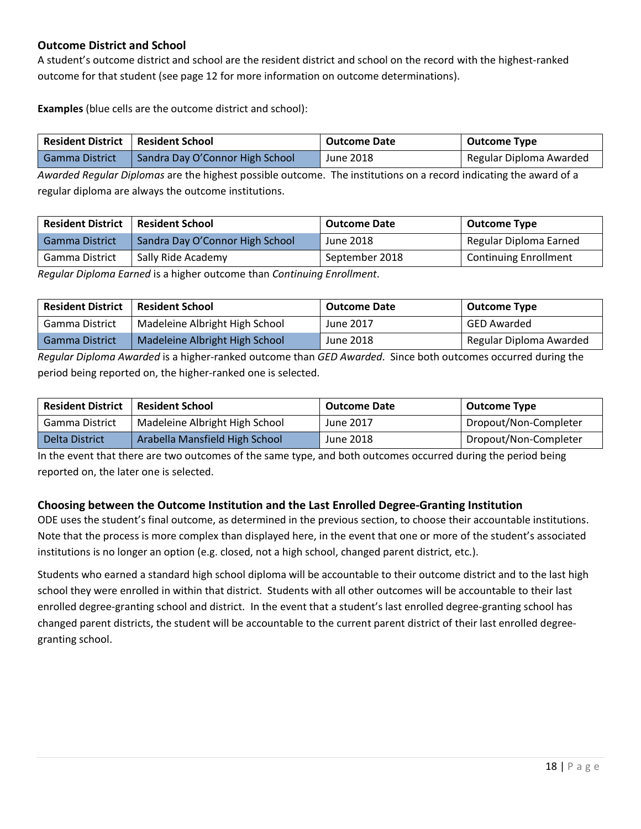#### <span id="page-21-0"></span>**Outcome District and School**

A student's outcome district and school are the resident district and school on the record with the highest-ranked outcome for that student (see page [12](#page-15-1) for more information on outcome determinations).

**Examples** (blue cells are the outcome district and school):

| Resident District   Resident School |                                 | <b>Outcome Date</b> | <b>Outcome Type</b>     |
|-------------------------------------|---------------------------------|---------------------|-------------------------|
| l Gamma District                    | Sandra Day O'Connor High School | June 2018           | Regular Diploma Awarded |

*Awarded Regular Diplomas* are the highest possible outcome. The institutions on a record indicating the award of a regular diploma are always the outcome institutions.

| <b>Resident District</b> | <b>Resident School</b>          | <b>Outcome Date</b> | <b>Outcome Type</b>          |
|--------------------------|---------------------------------|---------------------|------------------------------|
| <b>Gamma District</b>    | Sandra Day O'Connor High School | June 2018           | Regular Diploma Earned       |
| Gamma District           | Sally Ride Academy              | September 2018      | <b>Continuing Enrollment</b> |

*Regular Diploma Earned* is a higher outcome than *Continuing Enrollment*.

| <b>Resident District</b> | Resident School                | <b>Outcome Date</b> | Outcome Type            |
|--------------------------|--------------------------------|---------------------|-------------------------|
| Gamma District           | Madeleine Albright High School | June 2017           | GED Awarded             |
| <b>Gamma District</b>    | Madeleine Albright High School | June 2018           | Regular Diploma Awarded |

*Regular Diploma Awarded* is a higher-ranked outcome than *GED Awarded*. Since both outcomes occurred during the period being reported on, the higher-ranked one is selected.

| <b>Resident District</b> | Resident School                | <b>Outcome Date</b> | <b>Outcome Type</b>   |
|--------------------------|--------------------------------|---------------------|-----------------------|
| Gamma District           | Madeleine Albright High School | June 2017           | Dropout/Non-Completer |
| Delta District           | Arabella Mansfield High School | June 2018           | Dropout/Non-Completer |

In the event that there are two outcomes of the same type, and both outcomes occurred during the period being reported on, the later one is selected.

#### <span id="page-21-1"></span>**Choosing between the Outcome Institution and the Last Enrolled Degree-Granting Institution**

ODE uses the student's final outcome, as determined in the previous section, to choose their accountable institutions. Note that the process is more complex than displayed here, in the event that one or more of the student's associated institutions is no longer an option (e.g. closed, not a high school, changed parent district, etc.).

<span id="page-21-2"></span>Students who earned a standard high school diploma will be accountable to their outcome district and to the last high school they were enrolled in within that district. Students with all other outcomes will be accountable to their last enrolled degree-granting school and district. In the event that a student's last enrolled degree-granting school has changed parent districts, the student will be accountable to the current parent district of their last enrolled degreegranting school.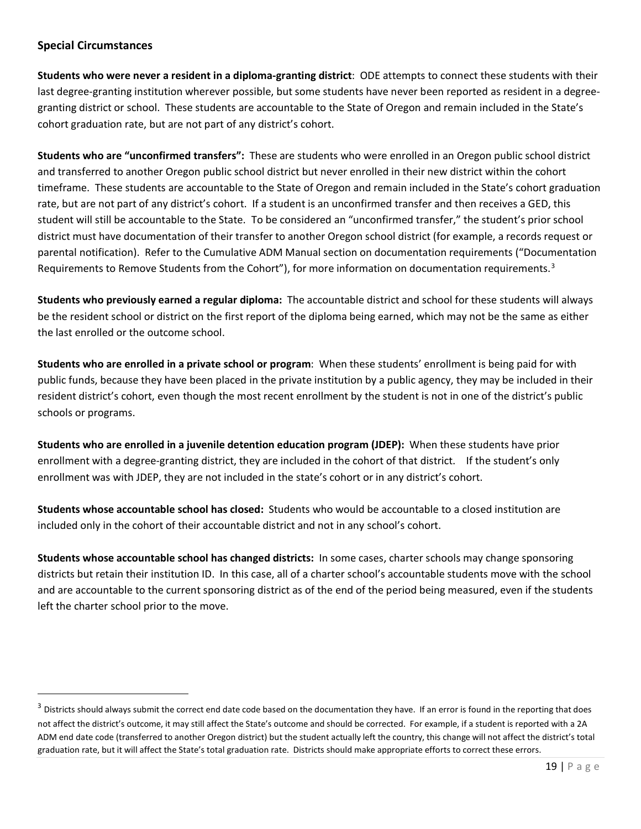#### <span id="page-22-0"></span>**Special Circumstances**

 $\overline{a}$ 

**Students who were never a resident in a diploma-granting district**: ODE attempts to connect these students with their last degree-granting institution wherever possible, but some students have never been reported as resident in a degreegranting district or school. These students are accountable to the State of Oregon and remain included in the State's cohort graduation rate, but are not part of any district's cohort.

**Students who are "unconfirmed transfers":** These are students who were enrolled in an Oregon public school district and transferred to another Oregon public school district but never enrolled in their new district within the cohort timeframe. These students are accountable to the State of Oregon and remain included in the State's cohort graduation rate, but are not part of any district's cohort. If a student is an unconfirmed transfer and then receives a GED, this student will still be accountable to the State. To be considered an "unconfirmed transfer," the student's prior school district must have documentation of their transfer to another Oregon school district (for example, a records request or parental notification). Refer to the [Cumulative ADM Manual](http://www.ode.state.or.us/go/cumADMManual) section on documentation requirements ("Documentation Requirements to Remove Students from the Cohort"), for more information on documentation requirements.<sup>[3](#page-22-1)</sup>

**Students who previously earned a regular diploma:** The accountable district and school for these students will always be the resident school or district on the first report of the diploma being earned, which may not be the same as either the last enrolled or the outcome school.

**Students who are enrolled in a private school or program**: When these students' enrollment is being paid for with public funds, because they have been placed in the private institution by a public agency, they may be included in their resident district's cohort, even though the most recent enrollment by the student is not in one of the district's public schools or programs.

**Students who are enrolled in a juvenile detention education program (JDEP):** When these students have prior enrollment with a degree-granting district, they are included in the cohort of that district. If the student's only enrollment was with JDEP, they are not included in the state's cohort or in any district's cohort.

**Students whose accountable school has closed:** Students who would be accountable to a closed institution are included only in the cohort of their accountable district and not in any school's cohort.

**Students whose accountable school has changed districts:** In some cases, charter schools may change sponsoring districts but retain their institution ID. In this case, all of a charter school's accountable students move with the school and are accountable to the current sponsoring district as of the end of the period being measured, even if the students left the charter school prior to the move.

<span id="page-22-1"></span><sup>&</sup>lt;sup>3</sup> Districts should always submit the correct end date code based on the documentation they have. If an error is found in the reporting that does not affect the district's outcome, it may still affect the State's outcome and should be corrected. For example, if a student is reported with a 2A ADM end date code (transferred to another Oregon district) but the student actually left the country, this change will not affect the district's total graduation rate, but it will affect the State's total graduation rate. Districts should make appropriate efforts to correct these errors.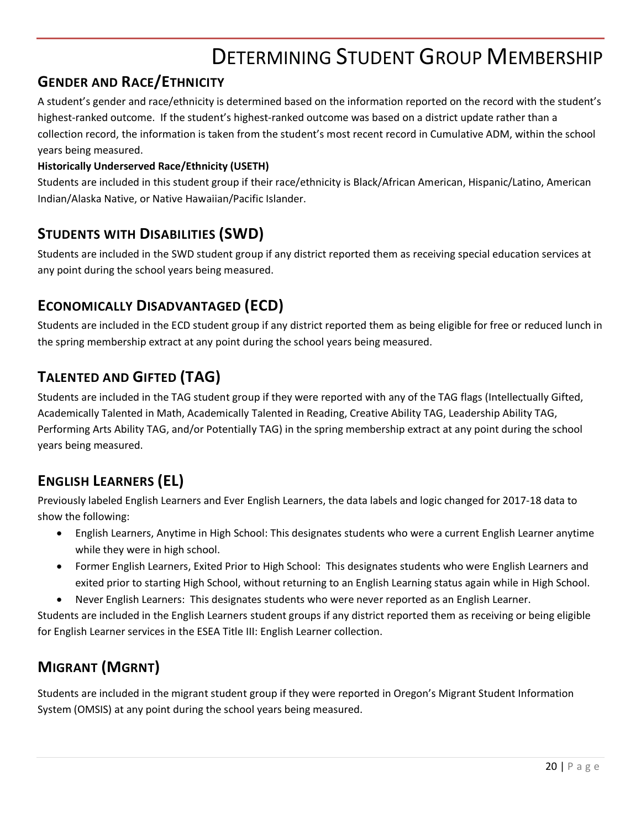# DETERMINING STUDENT GROUP MEMBERSHIP

### <span id="page-23-1"></span><span id="page-23-0"></span>**GENDER AND RACE/ETHNICITY**

A student's gender and race/ethnicity is determined based on the information reported on the record with the student's highest-ranked outcome. If the student's highest-ranked outcome was based on a district update rather than a collection record, the information is taken from the student's most recent record in Cumulative ADM, within the school years being measured.

#### **Historically Underserved Race/Ethnicity (USETH)**

Students are included in this student group if their race/ethnicity is Black/African American, Hispanic/Latino, American Indian/Alaska Native, or Native Hawaiian/Pacific Islander.

### <span id="page-23-2"></span>**STUDENTS WITH DISABILITIES (SWD)**

Students are included in the SWD student group if any district reported them as receiving special education services at any point during the school years being measured.

### <span id="page-23-3"></span>**ECONOMICALLY DISADVANTAGED (ECD)**

Students are included in the ECD student group if any district reported them as being eligible for free or reduced lunch in the spring membership extract at any point during the school years being measured.

### <span id="page-23-4"></span>**TALENTED AND GIFTED (TAG)**

Students are included in the TAG student group if they were reported with any of the TAG flags (Intellectually Gifted, Academically Talented in Math, Academically Talented in Reading, Creative Ability TAG, Leadership Ability TAG, Performing Arts Ability TAG, and/or Potentially TAG) in the spring membership extract at any point during the school years being measured.

### <span id="page-23-5"></span>**ENGLISH LEARNERS (EL)**

Previously labeled English Learners and Ever English Learners, the data labels and logic changed for 2017-18 data to show the following:

- English Learners, Anytime in High School: This designates students who were a current English Learner anytime while they were in high school.
- Former English Learners, Exited Prior to High School: This designates students who were English Learners and exited prior to starting High School, without returning to an English Learning status again while in High School.
- Never English Learners: This designates students who were never reported as an English Learner.

Students are included in the English Learners student groups if any district reported them as receiving or being eligible for English Learner services in the ESEA Title III: English Learner collection.

# <span id="page-23-6"></span>**MIGRANT (MGRNT)**

<span id="page-23-7"></span>Students are included in the migrant student group if they were reported in Oregon's Migrant Student Information System (OMSIS) at any point during the school years being measured.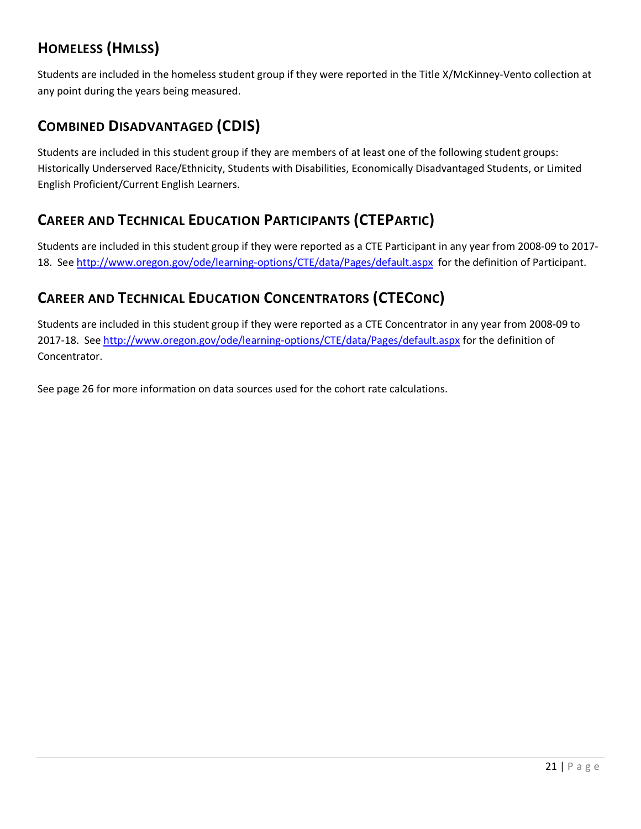# **HOMELESS (HMLSS)**

Students are included in the homeless student group if they were reported in the Title X/McKinney-Vento collection at any point during the years being measured.

# <span id="page-24-0"></span>**COMBINED DISADVANTAGED (CDIS)**

Students are included in this student group if they are members of at least one of the following student groups: Historically Underserved Race/Ethnicity, Students with Disabilities, Economically Disadvantaged Students, or Limited English Proficient/Current English Learners.

## <span id="page-24-1"></span>**CAREER AND TECHNICAL EDUCATION PARTICIPANTS (CTEPARTIC)**

Students are included in this student group if they were reported as a CTE Participant in any year from 2008-09 to 2017- 18. See<http://www.oregon.gov/ode/learning-options/CTE/data/Pages/default.aspx> for the definition of Participant.

## <span id="page-24-2"></span>**CAREER AND TECHNICAL EDUCATION CONCENTRATORS (CTECONC)**

Students are included in this student group if they were reported as a CTE Concentrator in any year from 2008-09 to 2017-18. See<http://www.oregon.gov/ode/learning-options/CTE/data/Pages/default.aspx> for the definition of Concentrator.

See pag[e 26](#page-29-1) for more information on data sources used for the cohort rate calculations.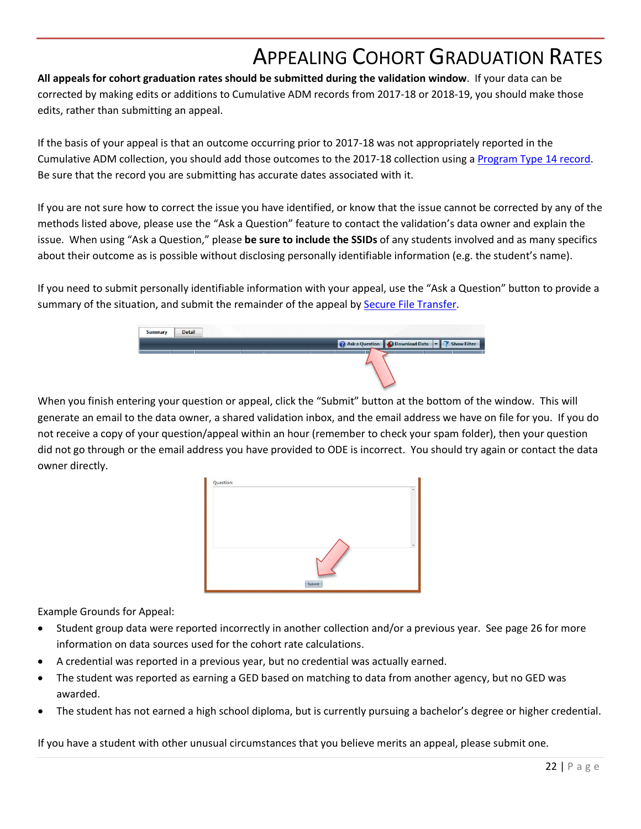# APPEALING COHORT GRADUATION RATES

<span id="page-25-0"></span>**All appeals for cohort graduation rates should be submitted during the validation window**. If your data can be corrected by making edits or additions to Cumulative ADM records from 2017-18 or 2018-19, you should make those edits, rather than submitting an appeal.

If the basis of your appeal is that an outcome occurring prior to 2017-18 was not appropriately reported in the Cumulative ADM collection, you should add those outcomes to the 2017-18 collection using a [Program Type 14 record.](https://district.ode.state.or.us/wma/training/docs/cumadmprog14guidance.pdf)  Be sure that the record you are submitting has accurate dates associated with it.

If you are not sure how to correct the issue you have identified, or know that the issue cannot be corrected by any of the methods listed above, please use the "Ask a Question" feature to contact the validation's data owner and explain the issue. When using "Ask a Question," please **be sure to include the SSIDs** of any students involved and as many specifics about their outcome as is possible without disclosing personally identifiable information (e.g. the student's name).

If you need to submit personally identifiable information with your appeal, use the "Ask a Question" button to provide a summary of the situation, and submit the remainder of the appeal by **Secure File Transfer**.



When you finish entering your question or appeal, click the "Submit" button at the bottom of the window. This will generate an email to the data owner, a shared validation inbox, and the email address we have on file for you. If you do not receive a copy of your question/appeal within an hour (remember to check your spam folder), then your question did not go through or the email address you have provided to ODE is incorrect. You should try again or contact the data owner directly.



Example Grounds for Appeal:

- Student group data were reported incorrectly in another collection and/or a previous year. See page [26](#page-29-1) for more information on data sources used for the cohort rate calculations.
- A credential was reported in a previous year, but no credential was actually earned.
- The student was reported as earning a GED based on matching to data from another agency, but no GED was awarded.
- The student has not earned a high school diploma, but is currently pursuing a bachelor's degree or higher credential.

If you have a student with other unusual circumstances that you believe merits an appeal, please submit one.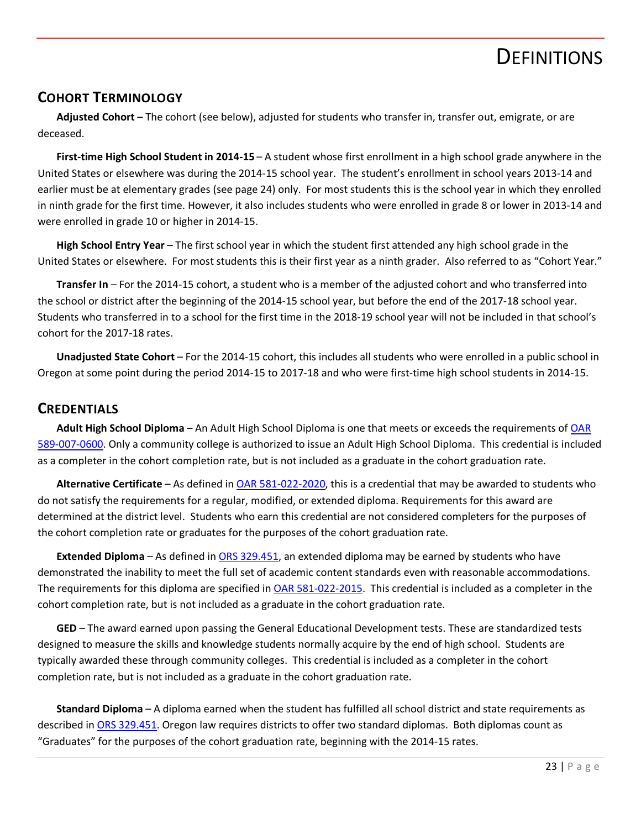# **DEFINITIONS**

#### <span id="page-26-1"></span><span id="page-26-0"></span>**COHORT TERMINOLOGY**

**Adjusted Cohort** – The cohort (see below), adjusted for students who transfer in, transfer out, emigrate, or are deceased.

**First-time High School Student in 2014-15** – A student whose first enrollment in a high school grade anywhere in the United States or elsewhere was during the 2014-15 school year. The student's enrollment in school years 2013-14 and earlier must be at elementary grades (see page [24\)](#page-27-2) only. For most students this is the school year in which they enrolled in ninth grade for the first time. However, it also includes students who were enrolled in grade 8 or lower in 2013-14 and were enrolled in grade 10 or higher in 2014-15.

**High School Entry Year** – The first school year in which the student first attended any high school grade in the United States or elsewhere. For most students this is their first year as a ninth grader. Also referred to as "Cohort Year."

**Transfer In** – For the 2014-15 cohort, a student who is a member of the adjusted cohort and who transferred into the school or district after the beginning of the 2014-15 school year, but before the end of the 2017-18 school year. Students who transferred in to a school for the first time in the 2018-19 school year will not be included in that school's cohort for the 2017-18 rates.

**Unadjusted State Cohort** – For the 2014-15 cohort, this includes all students who were enrolled in a public school in Oregon at some point during the period 2014-15 to 2017-18 and who were first-time high school students in 2014-15.

#### <span id="page-26-2"></span>**CREDENTIALS**

**Adult High School Diploma** – An Adult High School Diploma is one that meets or exceeds the requirements of [OAR](http://arcweb.sos.state.or.us/pages/rules/oars_500/oar_589/589_007.html)  [589-007-0600.](http://arcweb.sos.state.or.us/pages/rules/oars_500/oar_589/589_007.html) Only a community college is authorized to issue an Adult High School Diploma. This credential is included as a completer in the cohort completion rate, but is not included as a graduate in the cohort graduation rate.

**Alternative Certificate** – As defined in [OAR 581-022-2020,](http://arcweb.sos.state.or.us/pages/rules/oars_500/oar_581/581_022.html) this is a credential that may be awarded to students who do not satisfy the requirements for a regular, modified, or extended diploma. Requirements for this award are determined at the district level. Students who earn this credential are not considered completers for the purposes of the cohort completion rate or graduates for the purposes of the cohort graduation rate.

**Extended Diploma** – As defined in [ORS 329.451,](https://www.oregonlegislature.gov/bills_laws/ors/ors329.html) an extended diploma may be earned by students who have demonstrated the inability to meet the full set of academic content standards even with reasonable accommodations. The requirements for this diploma are specified i[n OAR 581-022-2015.](http://arcweb.sos.state.or.us/pages/rules/oars_500/oar_581/581_022.html) This credential is included as a completer in the cohort completion rate, but is not included as a graduate in the cohort graduation rate.

**GED** – The award earned upon passing the General Educational Development tests. These are standardized tests designed to measure the skills and knowledge students normally acquire by the end of high school. Students are typically awarded these through community colleges. This credential is included as a completer in the cohort completion rate, but is not included as a graduate in the cohort graduation rate.

**Standard Diploma** – A diploma earned when the student has fulfilled all school district and state requirements as described in [ORS 329.451.](https://www.oregonlegislature.gov/bills_laws/ors/ors329.html) Oregon law requires districts to offer two standard diplomas. Both diplomas count as "Graduates" for the purposes of the cohort graduation rate, beginning with the 2014-15 rates.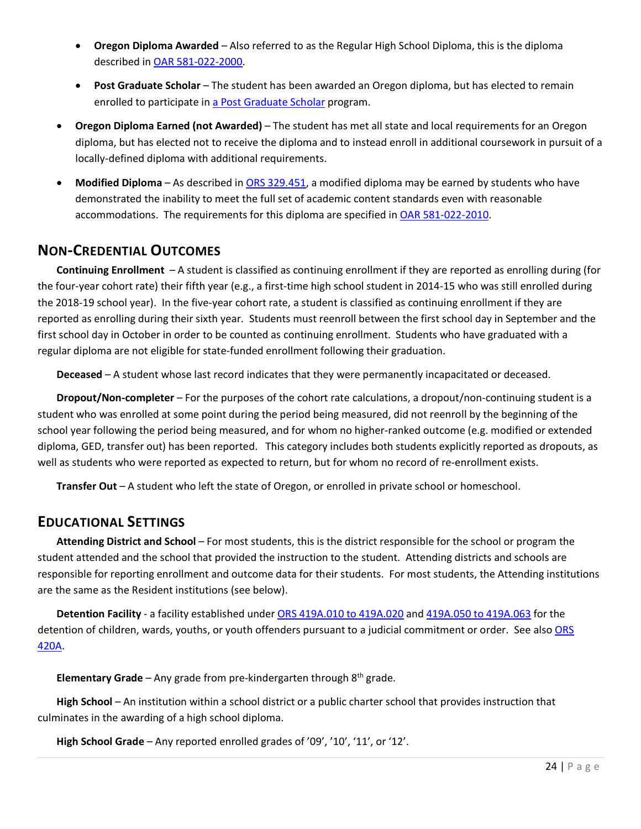- **Oregon Diploma Awarded** Also referred to as the Regular High School Diploma, this is the diploma described in [OAR 581-022-2000.](https://secure.sos.state.or.us/oard/viewSingleRule.action?ruleVrsnRsn=246705)
- **Post Graduate Scholar** The student has been awarded an Oregon diploma, but has elected to remain enrolled to participate in [a Post Graduate Scholar](http://www.oregon.gov/ode/students-and-family/Pages/Post-Graduate-Scholar-Programs.aspx) program.
- **Oregon Diploma Earned (not Awarded)**  The student has met all state and local requirements for an Oregon diploma, but has elected not to receive the diploma and to instead enroll in additional coursework in pursuit of a locally-defined diploma with additional requirements.
- **Modified Diploma** As described in [ORS 329.451,](https://www.oregonlegislature.gov/bills_laws/ors/ors329.html) a modified diploma may be earned by students who have demonstrated the inability to meet the full set of academic content standards even with reasonable accommodations. The requirements for this diploma are specified in [OAR 581-022-2010.](http://arcweb.sos.state.or.us/pages/rules/oars_500/oar_581/581_022.html)

#### <span id="page-27-0"></span>**NON-CREDENTIAL OUTCOMES**

**Continuing Enrollment** – A student is classified as continuing enrollment if they are reported as enrolling during (for the four-year cohort rate) their fifth year (e.g., a first-time high school student in 2014-15 who was still enrolled during the 2018-19 school year). In the five-year cohort rate, a student is classified as continuing enrollment if they are reported as enrolling during their sixth year. Students must reenroll between the first school day in September and the first school day in October in order to be counted as continuing enrollment. Students who have graduated with a regular diploma are not eligible for state-funded enrollment following their graduation.

**Deceased** – A student whose last record indicates that they were permanently incapacitated or deceased.

**Dropout/Non-completer** – For the purposes of the cohort rate calculations, a dropout/non-continuing student is a student who was enrolled at some point during the period being measured, did not reenroll by the beginning of the school year following the period being measured, and for whom no higher-ranked outcome (e.g. modified or extended diploma, GED, transfer out) has been reported. This category includes both students explicitly reported as dropouts, as well as students who were reported as expected to return, but for whom no record of re-enrollment exists.

**Transfer Out** – A student who left the state of Oregon, or enrolled in private school or homeschool.

#### <span id="page-27-1"></span>**EDUCATIONAL SETTINGS**

**Attending District and School** – For most students, this is the district responsible for the school or program the student attended and the school that provided the instruction to the student. Attending districts and schools are responsible for reporting enrollment and outcome data for their students. For most students, the Attending institutions are the same as the Resident institutions (see below).

**Detention Facility** - a facility established under [ORS 419A.010 to 419A.020](https://www.oregonlegislature.gov/bills_laws/ors/ors419A.html) and [419A.050 to 419A.063](https://www.oregonlegislature.gov/bills_laws/ors/ors419A.html) for the detention of children, wards, youths, or youth offenders pursuant to a judicial commitment or order. See also ORS [420A.](https://www.oregonlegislature.gov/bills_laws/ors/ors420A.html)

<span id="page-27-2"></span>**Elementary Grade** – Any grade from pre-kindergarten through 8th grade.

**High School** – An institution within a school district or a public charter school that provides instruction that culminates in the awarding of a high school diploma.

**High School Grade** – Any reported enrolled grades of '09', '10', '11', or '12'.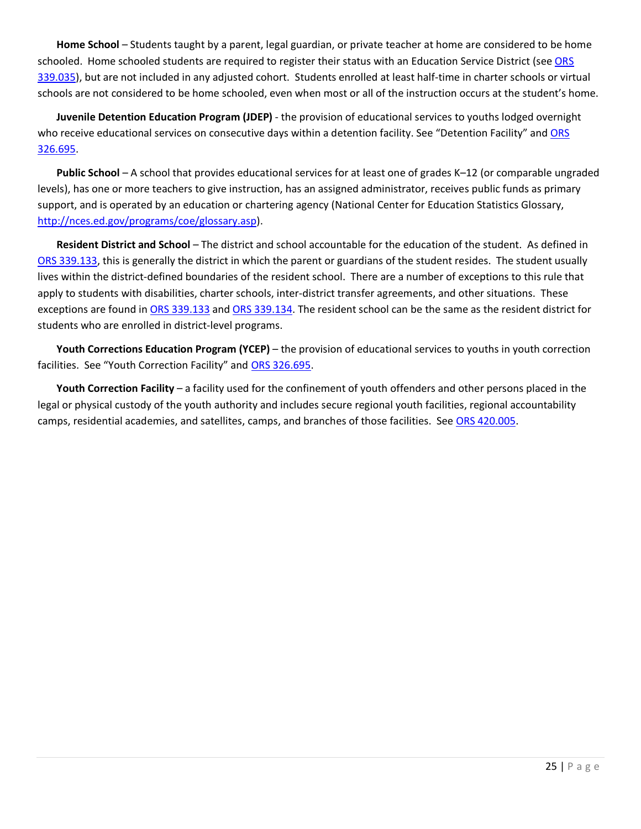**Home School** – Students taught by a parent, legal guardian, or private teacher at home are considered to be home schooled. Home schooled students are required to register their status with an Education Service District (see [ORS](https://www.oregonlegislature.gov/bills_laws/ors/ors339.html)  [339.035\)](https://www.oregonlegislature.gov/bills_laws/ors/ors339.html), but are not included in any adjusted cohort. Students enrolled at least half-time in charter schools or virtual schools are not considered to be home schooled, even when most or all of the instruction occurs at the student's home.

**Juvenile Detention Education Program (JDEP)** - the provision of educational services to youths lodged overnight who receive educational services on consecutive days within a detention facility. See "Detention Facility" and ORS [326.695.](https://www.oregonlegislature.gov/bills_laws/ors/ors326.html)

**Public School** – A school that provides educational services for at least one of grades K–12 (or comparable ungraded levels), has one or more teachers to give instruction, has an assigned administrator, receives public funds as primary support, and is operated by an education or chartering agency (National Center for Education Statistics Glossary, [http://nces.ed.gov/programs/coe/glossary.asp\)](http://nces.ed.gov/programs/coe/glossary.asp).

**Resident District and School** – The district and school accountable for the education of the student. As defined in [ORS 339.133,](https://www.oregonlegislature.gov/bills_laws/ors/ors339.html) this is generally the district in which the parent or guardians of the student resides. The student usually lives within the district-defined boundaries of the resident school. There are a number of exceptions to this rule that apply to students with disabilities, charter schools, inter-district transfer agreements, and other situations. These exceptions are found in [ORS 339.133](https://www.oregonlegislature.gov/bills_laws/ors/ors339.html) and [ORS 339.134.](https://www.oregonlegislature.gov/bills_laws/ors/ors339.html) The resident school can be the same as the resident district for students who are enrolled in district-level programs.

**Youth Corrections Education Program (YCEP)** – the provision of educational services to youths in youth correction facilities. See "Youth Correction Facility" and [ORS 326.695.](https://www.oregonlegislature.gov/bills_laws/ors/ors326.html)

**Youth Correction Facility** – a facility used for the confinement of youth offenders and other persons placed in the legal or physical custody of the youth authority and includes secure regional youth facilities, regional accountability camps, residential academies, and satellites, camps, and branches of those facilities. Se[e ORS 420.005.](https://www.oregonlegislature.gov/bills_laws/ors/ors420.html)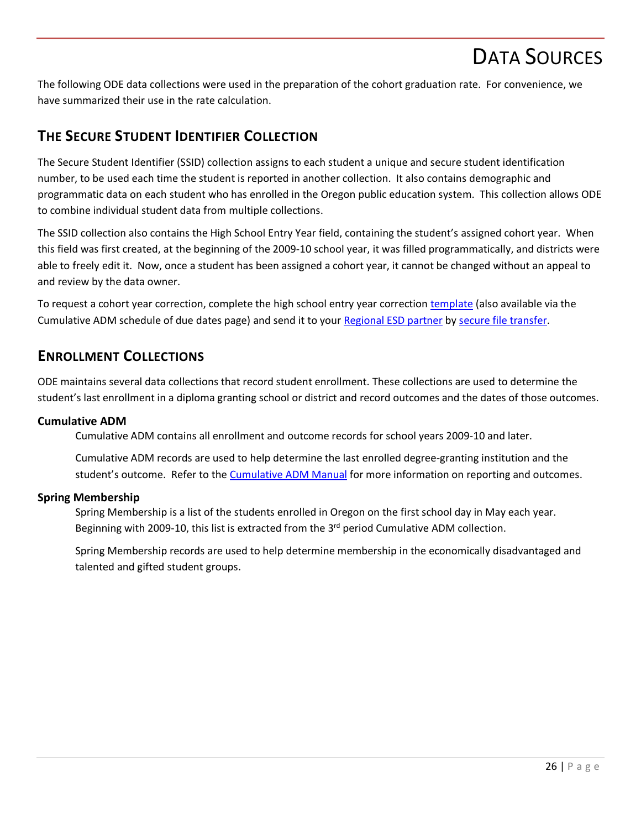# DATA SOURCES

<span id="page-29-0"></span>The following ODE data collections were used in the preparation of the cohort graduation rate. For convenience, we have summarized their use in the rate calculation.

### <span id="page-29-1"></span>**THE SECURE STUDENT IDENTIFIER COLLECTION**

The Secure Student Identifier (SSID) collection assigns to each student a unique and secure student identification number, to be used each time the student is reported in another collection. It also contains demographic and programmatic data on each student who has enrolled in the Oregon public education system. This collection allows ODE to combine individual student data from multiple collections.

The SSID collection also contains the High School Entry Year field, containing the student's assigned cohort year. When this field was first created, at the beginning of the 2009-10 school year, it was filled programmatically, and districts were able to freely edit it. Now, once a student has been assigned a cohort year, it cannot be changed without an appeal to and review by the data owner.

To request a cohort year correction, complete the high school entry year correction [template](https://district.ode.state.or.us/apps/info/docs/HS_Entry_Year_changes_template_Updated51812.xls) (also available via the Cumulative ADM schedule of due dates page) and send it to your [Regional ESD partner](http://www.oregon.gov/ode/educator-resources/assessment/Documents/esdpartners.pdf) by [secure file transfer.](https://district.ode.state.or.us/apps/xfers/)

#### <span id="page-29-2"></span>**ENROLLMENT COLLECTIONS**

ODE maintains several data collections that record student enrollment. These collections are used to determine the student's last enrollment in a diploma granting school or district and record outcomes and the dates of those outcomes.

#### <span id="page-29-3"></span>**Cumulative ADM**

Cumulative ADM contains all enrollment and outcome records for school years 2009-10 and later.

Cumulative ADM records are used to help determine the last enrolled degree-granting institution and the student's outcome. Refer to th[e Cumulative ADM Manual](https://district.ode.state.or.us/search/page/?id=156) for more information on reporting and outcomes.

#### <span id="page-29-4"></span>**Spring Membership**

Spring Membership is a list of the students enrolled in Oregon on the first school day in May each year. Beginning with 2009-10, this list is extracted from the  $3<sup>rd</sup>$  period Cumulative ADM collection.

Spring Membership records are used to help determine membership in the economically disadvantaged and talented and gifted student groups.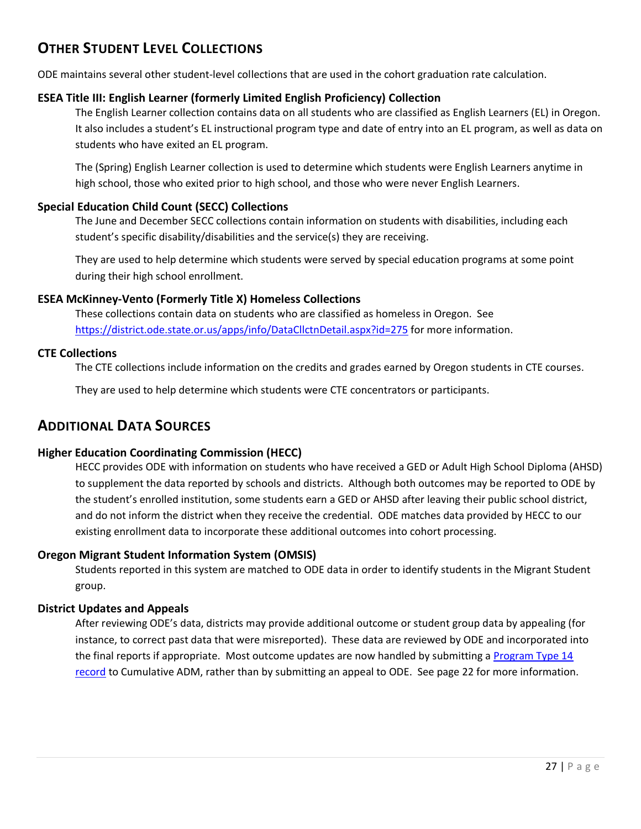# <span id="page-30-0"></span>**OTHER STUDENT LEVEL COLLECTIONS**

ODE maintains several other student-level collections that are used in the cohort graduation rate calculation.

#### <span id="page-30-1"></span>**ESEA Title III: English Learner (formerly Limited English Proficiency) Collection**

The English Learner collection contains data on all students who are classified as English Learners (EL) in Oregon. It also includes a student's EL instructional program type and date of entry into an EL program, as well as data on students who have exited an EL program.

The (Spring) English Learner collection is used to determine which students were English Learners anytime in high school, those who exited prior to high school, and those who were never English Learners.

#### <span id="page-30-2"></span>**Special Education Child Count (SECC) Collections**

The June and December SECC collections contain information on students with disabilities, including each student's specific disability/disabilities and the service(s) they are receiving.

They are used to help determine which students were served by special education programs at some point during their high school enrollment.

#### <span id="page-30-3"></span>**ESEA McKinney-Vento (Formerly Title X) Homeless Collections**

These collections contain data on students who are classified as homeless in Oregon. See [https://district.ode.state.or.us/apps/info/DataCllctnDetail.aspx?id=275](https://district.ode.state.or.us/apps/info/DataCllctnDetail.aspx?id=275&Collection_ID=1906) for more information.

#### <span id="page-30-4"></span>**CTE Collections**

The CTE collections include information on the credits and grades earned by Oregon students in CTE courses.

They are used to help determine which students were CTE concentrators or participants.

#### <span id="page-30-5"></span>**ADDITIONAL DATA SOURCES**

#### <span id="page-30-6"></span>**Higher Education Coordinating Commission (HECC)**

HECC provides ODE with information on students who have received a GED or Adult High School Diploma (AHSD) to supplement the data reported by schools and districts. Although both outcomes may be reported to ODE by the student's enrolled institution, some students earn a GED or AHSD after leaving their public school district, and do not inform the district when they receive the credential. ODE matches data provided by HECC to our existing enrollment data to incorporate these additional outcomes into cohort processing.

#### <span id="page-30-7"></span>**Oregon Migrant Student Information System (OMSIS)**

Students reported in this system are matched to ODE data in order to identify students in the Migrant Student group.

#### <span id="page-30-8"></span>**District Updates and Appeals**

After reviewing ODE's data, districts may provide additional outcome or student group data by appealing (for instance, to correct past data that were misreported). These data are reviewed by ODE and incorporated into the final reports if appropriate. Most outcome updates are now handled by submitting a Program Type 14 [record](https://district.ode.state.or.us/wma/training/docs/cumadmprog14guidance.pdf) to Cumulative ADM, rather than by submitting an appeal to ODE. See page [22](#page-25-0) for more information.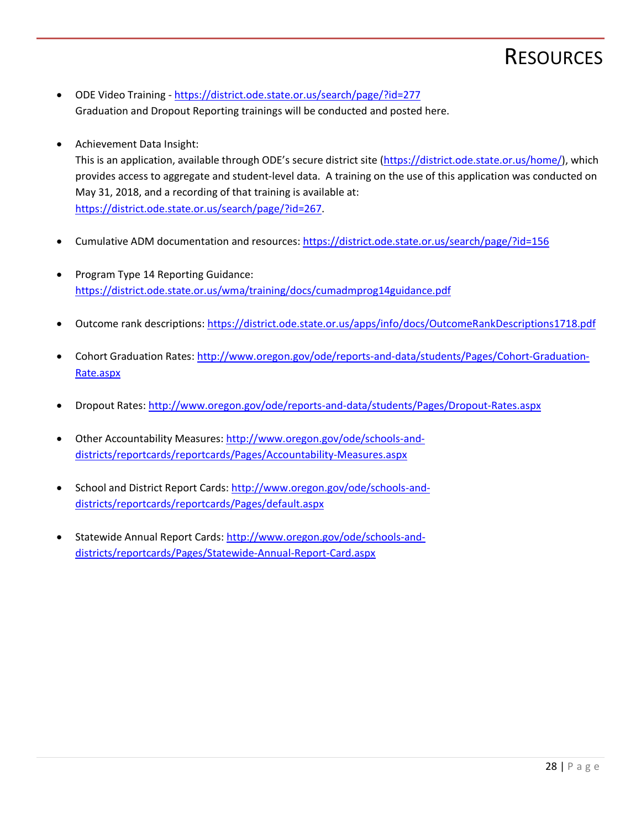# **RESOURCES**

- <span id="page-31-0"></span>• ODE Video Training - <https://district.ode.state.or.us/search/page/?id=277> Graduation and Dropout Reporting trainings will be conducted and posted here.
- Achievement Data Insight:

This is an application, available through ODE's secure district site [\(https://district.ode.state.or.us/home/\)](https://district.ode.state.or.us/home/), which provides access to aggregate and student-level data. A training on the use of this application was conducted on May 31, 2018, and a recording of that training is available at: [https://district.ode.state.or.us/search/page/?id=267.](https://district.ode.state.or.us/search/page/?id=267)

- Cumulative ADM documentation and resources[: https://district.ode.state.or.us/search/page/?id=156](https://district.ode.state.or.us/search/page/?id=156)
- Program Type 14 Reporting Guidance: <https://district.ode.state.or.us/wma/training/docs/cumadmprog14guidance.pdf>
- Outcome rank descriptions:<https://district.ode.state.or.us/apps/info/docs/OutcomeRankDescriptions1718.pdf>
- Cohort Graduation Rates: [http://www.oregon.gov/ode/reports-and-data/students/Pages/Cohort-Graduation-](http://www.oregon.gov/ode/reports-and-data/students/Pages/Cohort-Graduation-Rate.aspx)[Rate.aspx](http://www.oregon.gov/ode/reports-and-data/students/Pages/Cohort-Graduation-Rate.aspx)
- Dropout Rates:<http://www.oregon.gov/ode/reports-and-data/students/Pages/Dropout-Rates.aspx>
- Other Accountability Measures: [http://www.oregon.gov/ode/schools-and](http://www.oregon.gov/ode/schools-and-districts/reportcards/reportcards/Pages/Accountability-Measures.aspx)[districts/reportcards/reportcards/Pages/Accountability-Measures.aspx](http://www.oregon.gov/ode/schools-and-districts/reportcards/reportcards/Pages/Accountability-Measures.aspx)
- School and District Report Cards: [http://www.oregon.gov/ode/schools-and](http://www.oregon.gov/ode/schools-and-districts/reportcards/reportcards/Pages/default.aspx)[districts/reportcards/reportcards/Pages/default.aspx](http://www.oregon.gov/ode/schools-and-districts/reportcards/reportcards/Pages/default.aspx)
- Statewide Annual Report Cards: [http://www.oregon.gov/ode/schools-and](http://www.oregon.gov/ode/schools-and-districts/reportcards/Pages/Statewide-Annual-Report-Card.aspx)[districts/reportcards/Pages/Statewide-Annual-Report-Card.aspx](http://www.oregon.gov/ode/schools-and-districts/reportcards/Pages/Statewide-Annual-Report-Card.aspx)